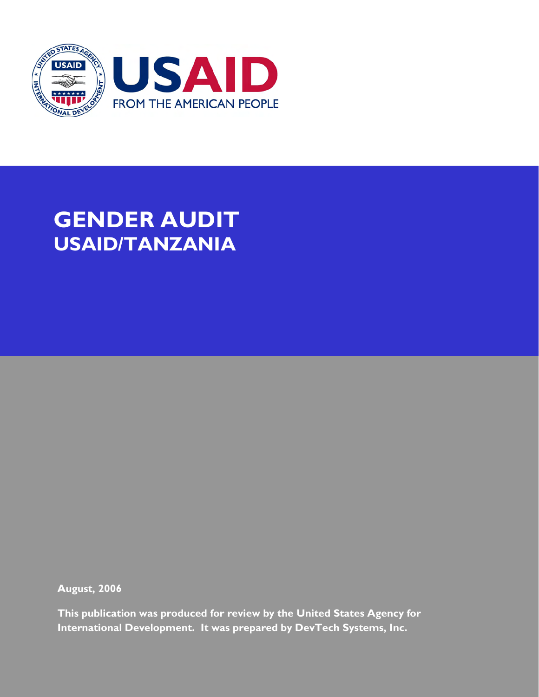

# **GENDER AUDIT USAID/TANZANIA**

**August, 2006** 

This publication was produced for review by the United States Agency for International Development. It was prepared by DevTech Systems, Inc.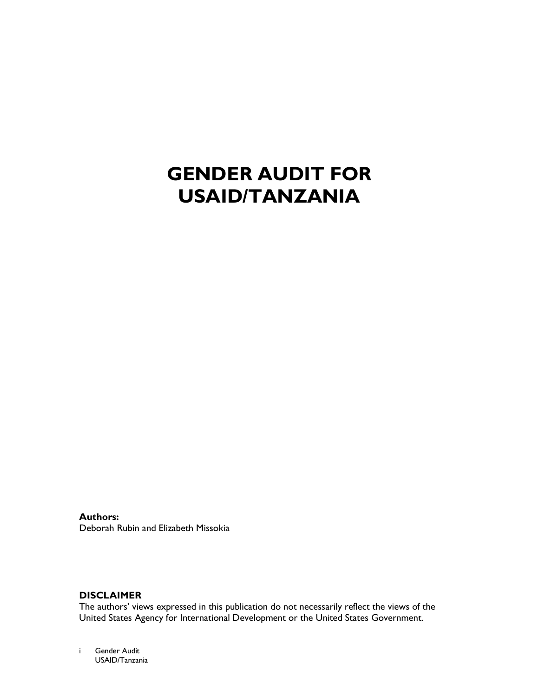# **GENDER AUDIT FOR USAID/TANZANIA**

**Authors:** Deborah Rubin and Elizabeth Missokia

# **DISCLAIMER**

The authors' views expressed in this publication do not necessarily reflect the views of the United States Agency for International Development or the United States Government.

Gender Audit  $\mathbf{i}$ USAID/Tanzania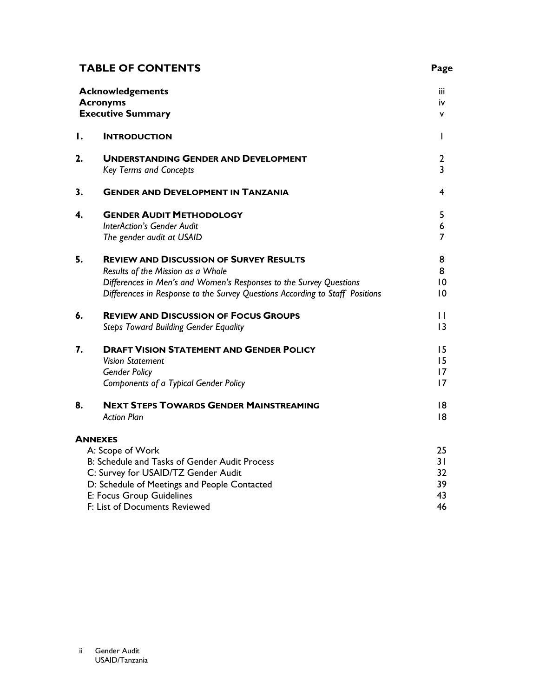# **TABLE OF CONTENTS**

|    | <b>Acknowledgements</b><br><b>Acronyms</b><br><b>Executive Summary</b>                                                                                                                                                                    | iii<br>İΥ.<br>٧                             |
|----|-------------------------------------------------------------------------------------------------------------------------------------------------------------------------------------------------------------------------------------------|---------------------------------------------|
| Ι. | <b>INTRODUCTION</b>                                                                                                                                                                                                                       | L                                           |
| 2. | <b>UNDERSTANDING GENDER AND DEVELOPMENT</b><br><b>Key Terms and Concepts</b>                                                                                                                                                              | 2<br>3                                      |
| 3. | <b>GENDER AND DEVELOPMENT IN TANZANIA</b>                                                                                                                                                                                                 | 4                                           |
| 4. | <b>GENDER AUDIT METHODOLOGY</b><br><b>InterAction's Gender Audit</b><br>The gender audit at USAID                                                                                                                                         | 5<br>6<br>7                                 |
| 5. | <b>REVIEW AND DISCUSSION OF SURVEY RESULTS</b><br>Results of the Mission as a Whole<br>Differences in Men's and Women's Responses to the Survey Questions<br>Differences in Response to the Survey Questions According to Staff Positions | 8<br>8<br>$\overline{0}$<br>$\overline{10}$ |
| 6. | <b>REVIEW AND DISCUSSION OF FOCUS GROUPS</b><br><b>Steps Toward Building Gender Equality</b>                                                                                                                                              | П<br>$\overline{13}$                        |
| 7. | <b>DRAFT VISION STATEMENT AND GENDER POLICY</b><br><b>Vision Statement</b><br><b>Gender Policy</b><br><b>Components of a Typical Gender Policy</b>                                                                                        | 15<br>15<br>17<br>17                        |
| 8. | <b>NEXT STEPS TOWARDS GENDER MAINSTREAMING</b><br><b>Action Plan</b>                                                                                                                                                                      | 8<br>18                                     |
|    | <b>ANNEXES</b><br>A: Scope of Work<br>B: Schedule and Tasks of Gender Audit Process<br>C: Survey for USAID/TZ Gender Audit<br>D: Schedule of Meetings and People Contacted<br>E: Focus Group Guidelines<br>F: List of Documents Reviewed  | 25<br>31<br>32<br>39<br>43<br>46            |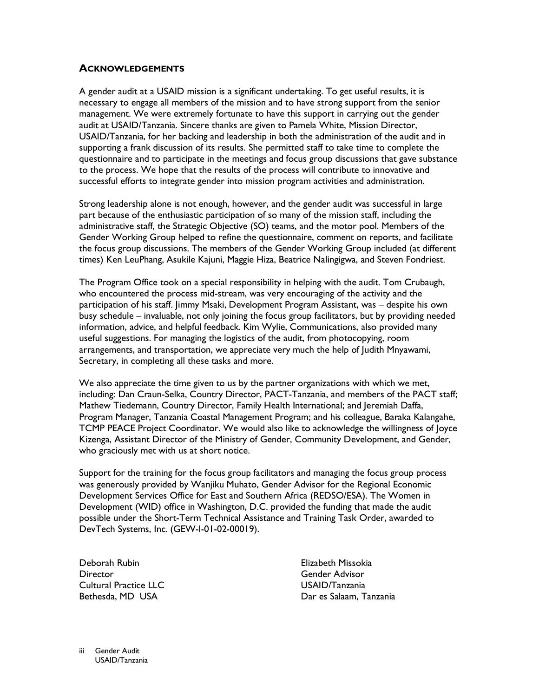### **ACKNOWLEDGEMENTS**

A gender audit at a USAID mission is a significant undertaking. To get useful results, it is necessary to engage all members of the mission and to have strong support from the senior management. We were extremely fortunate to have this support in carrying out the gender audit at USAID/Tanzania. Sincere thanks are given to Pamela White, Mission Director, USAID/Tanzania, for her backing and leadership in both the administration of the audit and in supporting a frank discussion of its results. She permitted staff to take time to complete the questionnaire and to participate in the meetings and focus group discussions that gave substance to the process. We hope that the results of the process will contribute to innovative and successful efforts to integrate gender into mission program activities and administration.

Strong leadership alone is not enough, however, and the gender audit was successful in large part because of the enthusiastic participation of so many of the mission staff, including the administrative staff, the Strategic Objective (SO) teams, and the motor pool. Members of the Gender Working Group helped to refine the questionnaire, comment on reports, and facilitate the focus group discussions. The members of the Gender Working Group included (at different times) Ken LeuPhang, Asukile Kajuni, Maggie Hiza, Beatrice Nalingigwa, and Steven Fondriest.

The Program Office took on a special responsibility in helping with the audit. Tom Crubaugh, who encountered the process mid-stream, was very encouraging of the activity and the participation of his staff. Jimmy Msaki, Development Program Assistant, was - despite his own busy schedule – invaluable, not only joining the focus group facilitators, but by providing needed information, advice, and helpful feedback. Kim Wylie, Communications, also provided many useful suggestions. For managing the logistics of the audit, from photocopying, room arrangements, and transportation, we appreciate very much the help of Judith Mnyawami, Secretary, in completing all these tasks and more.

We also appreciate the time given to us by the partner organizations with which we met, including: Dan Craun-Selka, Country Director, PACT-Tanzania, and members of the PACT staff; Mathew Tiedemann, Country Director, Family Health International; and Jeremiah Daffa, Program Manager, Tanzania Coastal Management Program; and his colleague, Baraka Kalangahe, TCMP PEACE Project Coordinator. We would also like to acknowledge the willingness of loyce Kizenga, Assistant Director of the Ministry of Gender, Community Development, and Gender, who graciously met with us at short notice.

Support for the training for the focus group facilitators and managing the focus group process was generously provided by Wanjiku Muhato, Gender Advisor for the Regional Economic Development Services Office for East and Southern Africa (REDSO/ESA). The Women in Development (WID) office in Washington, D.C. provided the funding that made the audit possible under the Short-Term Technical Assistance and Training Task Order, awarded to DevTech Systems, Inc. (GEW-I-01-02-00019).

Deborah Rubin **Director Cultural Practice LLC** Bethesda, MD USA

Elizabeth Missokia Gender Advisor USAID/Tanzania Dar es Salaam, Tanzania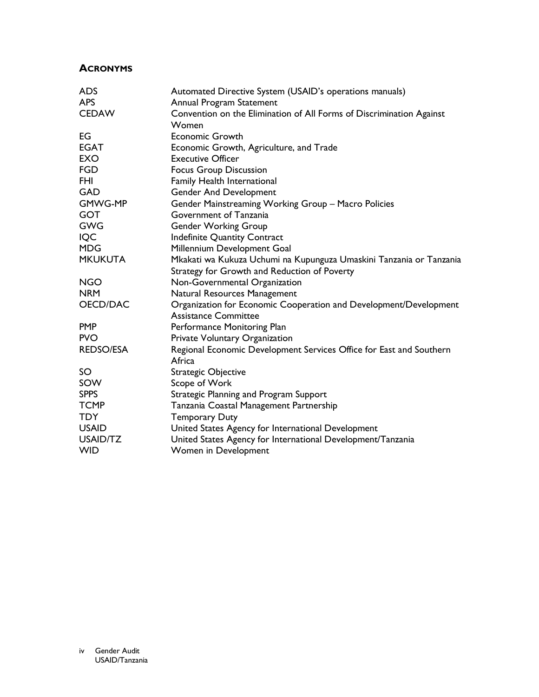# **ACRONYMS**

| <b>ADS</b>       | Automated Directive System (USAID's operations manuals)                                          |
|------------------|--------------------------------------------------------------------------------------------------|
| <b>APS</b>       | Annual Program Statement                                                                         |
| <b>CEDAW</b>     | Convention on the Elimination of All Forms of Discrimination Against<br>Women                    |
| EG               | <b>Economic Growth</b>                                                                           |
| <b>EGAT</b>      | Economic Growth, Agriculture, and Trade                                                          |
| <b>EXO</b>       | <b>Executive Officer</b>                                                                         |
| <b>FGD</b>       | <b>Focus Group Discussion</b>                                                                    |
| <b>FHI</b>       | Family Health International                                                                      |
| <b>GAD</b>       | <b>Gender And Development</b>                                                                    |
| <b>GMWG-MP</b>   | Gender Mainstreaming Working Group - Macro Policies                                              |
| <b>GOT</b>       | Government of Tanzania                                                                           |
| <b>GWG</b>       | <b>Gender Working Group</b>                                                                      |
| <b>IQC</b>       | <b>Indefinite Quantity Contract</b>                                                              |
| <b>MDG</b>       | Millennium Development Goal                                                                      |
| <b>MKUKUTA</b>   | Mkakati wa Kukuza Uchumi na Kupunguza Umaskini Tanzania or Tanzania                              |
|                  | Strategy for Growth and Reduction of Poverty                                                     |
| <b>NGO</b>       | Non-Governmental Organization                                                                    |
| <b>NRM</b>       | Natural Resources Management                                                                     |
| OECD/DAC         | Organization for Economic Cooperation and Development/Development<br><b>Assistance Committee</b> |
| <b>PMP</b>       | Performance Monitoring Plan                                                                      |
| <b>PVO</b>       | Private Voluntary Organization                                                                   |
| <b>REDSO/ESA</b> | Regional Economic Development Services Office for East and Southern<br>Africa                    |
| SO               | Strategic Objective                                                                              |
| SOW              | Scope of Work                                                                                    |
| <b>SPPS</b>      | Strategic Planning and Program Support                                                           |
| <b>TCMP</b>      | Tanzania Coastal Management Partnership                                                          |
| <b>TDY</b>       | <b>Temporary Duty</b>                                                                            |
| <b>USAID</b>     | United States Agency for International Development                                               |
| USAID/TZ         | United States Agency for International Development/Tanzania                                      |
| <b>WID</b>       | Women in Development                                                                             |
|                  |                                                                                                  |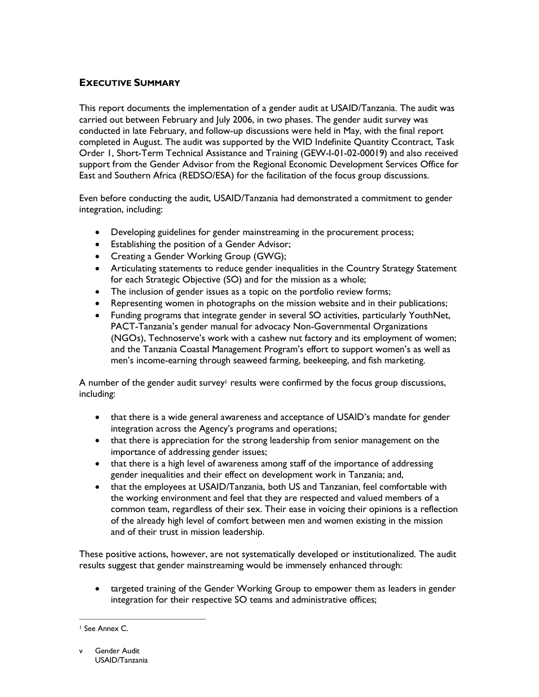# **EXECUTIVE SUMMARY**

This report documents the implementation of a gender audit at USAID/Tanzania. The audit was carried out between February and July 2006, in two phases. The gender audit survey was conducted in late February, and follow-up discussions were held in May, with the final report completed in August. The audit was supported by the WID Indefinite Quantity Ccontract, Task Order 1, Short-Term Technical Assistance and Training (GEW-I-01-02-00019) and also received support from the Gender Advisor from the Regional Economic Development Services Office for East and Southern Africa (REDSO/ESA) for the facilitation of the focus group discussions.

Even before conducting the audit, USAID/Tanzania had demonstrated a commitment to gender integration, including:

- Developing guidelines for gender mainstreaming in the procurement process;
- Establishing the position of a Gender Advisor;
- Creating a Gender Working Group (GWG);
- Articulating statements to reduce gender inequalities in the Country Strategy Statement for each Strategic Objective (SO) and for the mission as a whole;
- The inclusion of gender issues as a topic on the portfolio review forms;
- Representing women in photographs on the mission website and in their publications;
- Funding programs that integrate gender in several SO activities, particularly YouthNet, PACT-Tanzania's gender manual for advocacy Non-Governmental Organizations (NGOs), Technoserve's work with a cashew nut factory and its employment of women; and the Tanzania Coastal Management Program's effort to support women's as well as men's income-earning through seaweed farming, beekeeping, and fish marketing.

A number of the gender audit survey<sup>1</sup> results were confirmed by the focus group discussions, including:

- that there is a wide general awareness and acceptance of USAID's mandate for gender integration across the Agency's programs and operations;
- that there is appreciation for the strong leadership from senior management on the importance of addressing gender issues;
- that there is a high level of awareness among staff of the importance of addressing gender inequalities and their effect on development work in Tanzania; and,
- that the employees at USAID/Tanzania, both US and Tanzanian, feel comfortable with the working environment and feel that they are respected and valued members of a common team, regardless of their sex. Their ease in voicing their opinions is a reflection of the already high level of comfort between men and women existing in the mission and of their trust in mission leadership.

These positive actions, however, are not systematically developed or institutionalized. The audit results suggest that gender mainstreaming would be immensely enhanced through:

• targeted training of the Gender Working Group to empower them as leaders in gender integration for their respective SO teams and administrative offices;

<sup>&</sup>lt;sup>1</sup> See Annex C.

Gender Audit USAID/Tanzania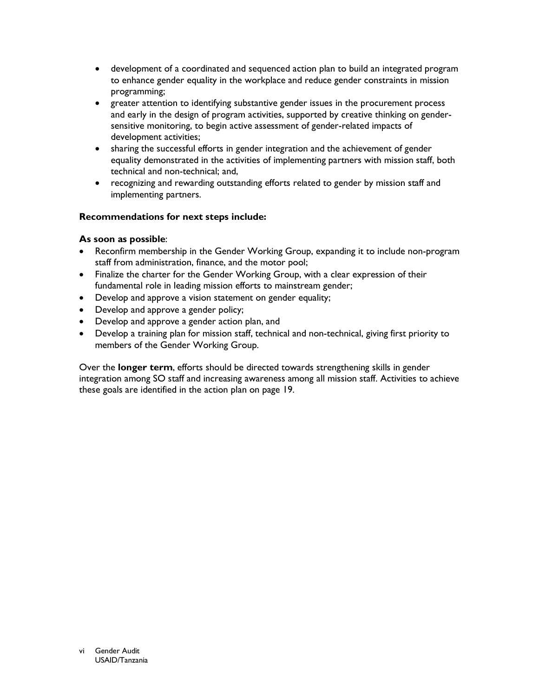- development of a coordinated and sequenced action plan to build an integrated program to enhance gender equality in the workplace and reduce gender constraints in mission programming;
- greater attention to identifying substantive gender issues in the procurement process and early in the design of program activities, supported by creative thinking on gendersensitive monitoring, to begin active assessment of gender-related impacts of development activities;
- sharing the successful efforts in gender integration and the achievement of gender  $\bullet$ equality demonstrated in the activities of implementing partners with mission staff, both technical and non-technical: and.
- recognizing and rewarding outstanding efforts related to gender by mission staff and implementing partners.

# Recommendations for next steps include:

# As soon as possible:

- Reconfirm membership in the Gender Working Group, expanding it to include non-program staff from administration, finance, and the motor pool;
- Finalize the charter for the Gender Working Group, with a clear expression of their fundamental role in leading mission efforts to mainstream gender;
- Develop and approve a vision statement on gender equality;
- Develop and approve a gender policy;
- Develop and approve a gender action plan, and
- Develop a training plan for mission staff, technical and non-technical, giving first priority to members of the Gender Working Group.

Over the longer term, efforts should be directed towards strengthening skills in gender integration among SO staff and increasing awareness among all mission staff. Activities to achieve these goals are identified in the action plan on page 19.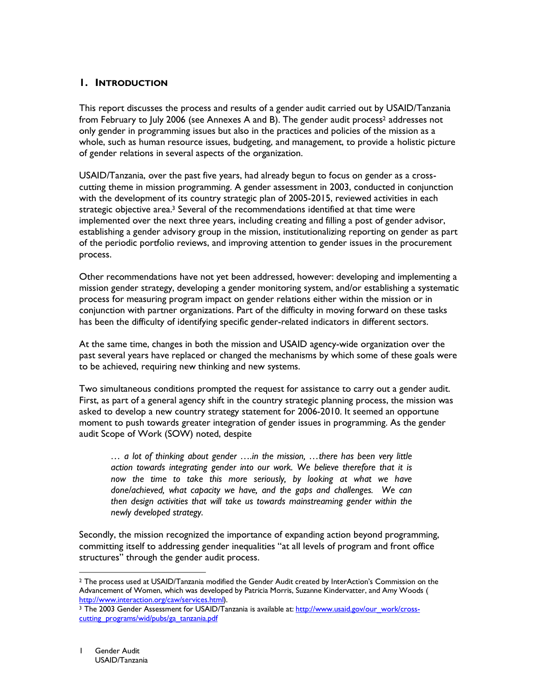# **I. INTRODUCTION**

This report discusses the process and results of a gender audit carried out by USAID/Tanzania from February to July 2006 (see Annexes A and B). The gender audit process<sup>2</sup> addresses not only gender in programming issues but also in the practices and policies of the mission as a whole, such as human resource issues, budgeting, and management, to provide a holistic picture of gender relations in several aspects of the organization.

USAID/Tanzania, over the past five years, had already begun to focus on gender as a crosscutting theme in mission programming. A gender assessment in 2003, conducted in conjunction with the development of its country strategic plan of 2005-2015, reviewed activities in each strategic objective area.<sup>3</sup> Several of the recommendations identified at that time were implemented over the next three years, including creating and filling a post of gender advisor, establishing a gender advisory group in the mission, institutionalizing reporting on gender as part of the periodic portfolio reviews, and improving attention to gender issues in the procurement process.

Other recommendations have not yet been addressed, however: developing and implementing a mission gender strategy, developing a gender monitoring system, and/or establishing a systematic process for measuring program impact on gender relations either within the mission or in conjunction with partner organizations. Part of the difficulty in moving forward on these tasks has been the difficulty of identifying specific gender-related indicators in different sectors.

At the same time, changes in both the mission and USAID agency-wide organization over the past several years have replaced or changed the mechanisms by which some of these goals were to be achieved, requiring new thinking and new systems.

Two simultaneous conditions prompted the request for assistance to carry out a gender audit. First, as part of a general agency shift in the country strategic planning process, the mission was asked to develop a new country strategy statement for 2006-2010. It seemed an opportune moment to push towards greater integration of gender issues in programming. As the gender audit Scope of Work (SOW) noted, despite

... a lot of thinking about gender ....in the mission, ...there has been very little action towards integrating gender into our work. We believe therefore that it is now the time to take this more seriously, by looking at what we have done/achieved, what capacity we have, and the gaps and challenges. We can then design activities that will take us towards mainstreaming gender within the newly developed strategy.

Secondly, the mission recognized the importance of expanding action beyond programming, committing itself to addressing gender inequalities "at all levels of program and front office structures" through the gender audit process.

<sup>&</sup>lt;sup>2</sup> The process used at USAID/Tanzania modified the Gender Audit created by InterAction's Commission on the Advancement of Women, which was developed by Patricia Morris, Suzanne Kindervatter, and Amy Woods ( http://www.interaction.org/caw/services.html).

<sup>&</sup>lt;sup>3</sup> The 2003 Gender Assessment for USAID/Tanzania is available at: http://www.usaid.gov/our work/crosscutting programs/wid/pubs/ga tanzania.pdf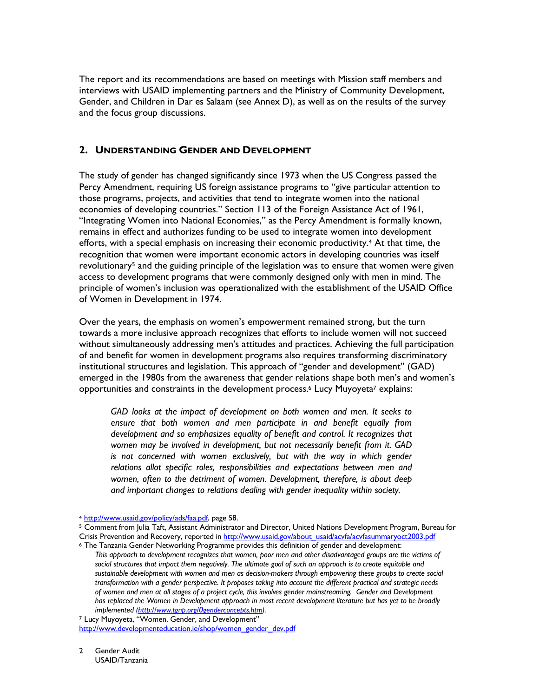The report and its recommendations are based on meetings with Mission staff members and interviews with USAID implementing partners and the Ministry of Community Development, Gender, and Children in Dar es Salaam (see Annex D), as well as on the results of the survey and the focus group discussions.

### 2. UNDERSTANDING GENDER AND DEVELOPMENT

The study of gender has changed significantly since 1973 when the US Congress passed the Percy Amendment, requiring US foreign assistance programs to "give particular attention to those programs, projects, and activities that tend to integrate women into the national economies of developing countries." Section 113 of the Foreign Assistance Act of 1961, "Integrating Women into National Economies," as the Percy Amendment is formally known, remains in effect and authorizes funding to be used to integrate women into development efforts, with a special emphasis on increasing their economic productivity.<sup>4</sup> At that time, the recognition that women were important economic actors in developing countries was itself revolutionary<sup>5</sup> and the guiding principle of the legislation was to ensure that women were given access to development programs that were commonly designed only with men in mind. The principle of women's inclusion was operationalized with the establishment of the USAID Office of Women in Development in 1974.

Over the years, the emphasis on women's empowerment remained strong, but the turn towards a more inclusive approach recognizes that efforts to include women will not succeed without simultaneously addressing men's attitudes and practices. Achieving the full participation of and benefit for women in development programs also requires transforming discriminatory institutional structures and legislation. This approach of "gender and development" (GAD) emerged in the 1980s from the awareness that gender relations shape both men's and women's opportunities and constraints in the development process.<sup>6</sup> Lucy Muyoyeta<sup>7</sup> explains:

GAD looks at the impact of development on both women and men. It seeks to ensure that both women and men participate in and benefit equally from development and so emphasizes equality of benefit and control. It recognizes that women may be involved in development, but not necessarily benefit from it. GAD is not concerned with women exclusively, but with the way in which gender relations allot specific roles, responsibilities and expectations between men and women, often to the detriment of women. Development, therefore, is about deep and important changes to relations dealing with gender inequality within society.

<sup>4</sup> http://www.usaid.gov/policy/ads/faa.pdf, page 58.

<sup>&</sup>lt;sup>5</sup> Comment from Julia Taft, Assistant Administrator and Director, United Nations Development Program, Bureau for Crisis Prevention and Recovery, reported in http://www.usaid.gov/about\_usaid/acvfa/acvfasummaryoct2003.pdf

<sup>&</sup>lt;sup>6</sup> The Tanzania Gender Networking Programme provides this definition of gender and development: This approach to development recognizes that women, poor men and other disadvantaged groups are the victims of social structures that impact them negatively. The ultimate goal of such an approach is to create equitable and sustainable development with women and men as decision-makers through empowering these groups to create social transformation with a gender perspective. It proposes taking into account the different practical and strategic needs of women and men at all stages of a project cycle, this involves gender mainstreaming. Gender and Development has replaced the Women in Development approach in most recent development literature but has yet to be broadly implemented (http://www.tgnp.org/Ogenderconcepts.htm).

<sup>&</sup>lt;sup>7</sup> Lucy Muyoyeta, "Women, Gender, and Development" http://www.developmenteducation.ie/shop/women\_gender\_dev.pdf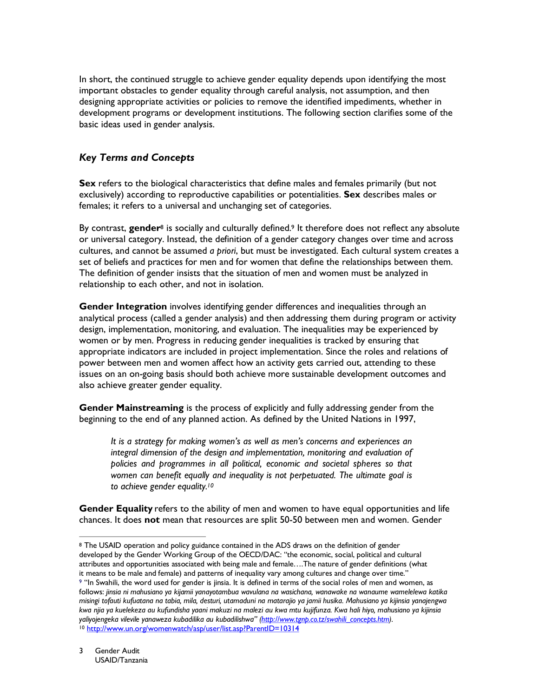In short, the continued struggle to achieve gender equality depends upon identifying the most important obstacles to gender equality through careful analysis, not assumption, and then designing appropriate activities or policies to remove the identified impediments, whether in development programs or development institutions. The following section clarifies some of the basic ideas used in gender analysis.

# **Key Terms and Concepts**

Sex refers to the biological characteristics that define males and females primarily (but not exclusively) according to reproductive capabilities or potentialities. Sex describes males or females; it refers to a universal and unchanging set of categories.

By contrast, gender<sup>8</sup> is socially and culturally defined.<sup>9</sup> It therefore does not reflect any absolute or universal category. Instead, the definition of a gender category changes over time and across cultures, and cannot be assumed a priori, but must be investigated. Each cultural system creates a set of beliefs and practices for men and for women that define the relationships between them. The definition of gender insists that the situation of men and women must be analyzed in relationship to each other, and not in isolation.

Gender Integration involves identifying gender differences and inequalities through an analytical process (called a gender analysis) and then addressing them during program or activity design, implementation, monitoring, and evaluation. The inequalities may be experienced by women or by men. Progress in reducing gender inequalities is tracked by ensuring that appropriate indicators are included in project implementation. Since the roles and relations of power between men and women affect how an activity gets carried out, attending to these issues on an on-going basis should both achieve more sustainable development outcomes and also achieve greater gender equality.

Gender Mainstreaming is the process of explicitly and fully addressing gender from the beginning to the end of any planned action. As defined by the United Nations in 1997,

It is a strategy for making women's as well as men's concerns and experiences an integral dimension of the design and implementation, monitoring and evaluation of policies and programmes in all political, economic and societal spheres so that women can benefit equally and inequality is not perpetuated. The ultimate goal is to achieve gender equality.<sup>10</sup>

Gender Equality refers to the ability of men and women to have equal opportunities and life chances. It does not mean that resources are split 50-50 between men and women. Gender

<sup>&</sup>lt;sup>8</sup> The USAID operation and policy guidance contained in the ADS draws on the definition of gender developed by the Gender Working Group of the OECD/DAC: "the economic, social, political and cultural attributes and opportunities associated with being male and female....The nature of gender definitions (what it means to be male and female) and patterns of inequality vary among cultures and change over time." 9 "In Swahili, the word used for gender is jinsia. It is defined in terms of the social roles of men and women, as follows: jinsia ni mahusiano ya kijamii yanayotambua wavulana na wasichana, wanawake na wanaume wamelelewa katika misingi tofauti kufuatana na tabia, mila, desturi, utamaduni na matarajio ya jamii husika. Mahusiano ya kijinsia yanajengwa kwa njia ya kuelekeza au kufundisha yaani makuzi na malezi au kwa mtu kujifunza. Kwa hali hiyo, mahusiano ya kijinsia yaliyojengeka vilevile yanaweza kubadilika au kubadilishwa" (http://www.tgnp.co.tz/swahili\_concepts.htm). <sup>10</sup> http://www.un.org/womenwatch/asp/user/list.asp?ParentID=10314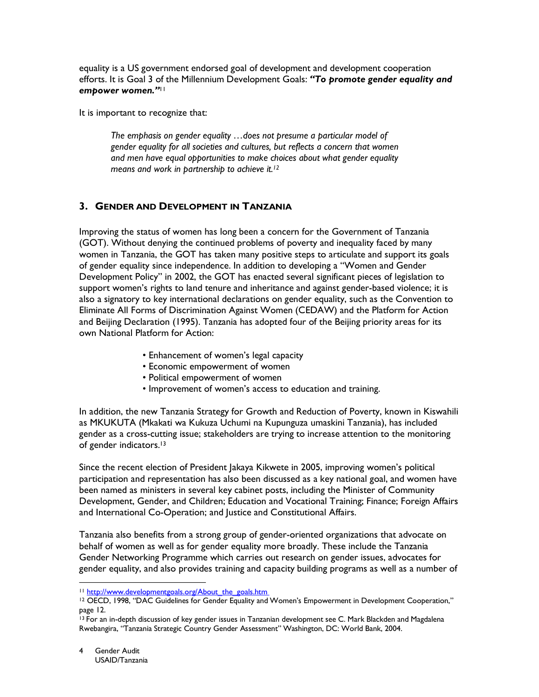equality is a US government endorsed goal of development and development cooperation efforts. It is Goal 3 of the Millennium Development Goals: "To promote gender equality and empower women."

It is important to recognize that:

The emphasis on gender equality ...does not presume a particular model of gender equality for all societies and cultures, but reflects a concern that women and men have equal opportunities to make choices about what gender equality means and work in partnership to achieve it.<sup>12</sup>

# 3. GENDER AND DEVELOPMENT IN TANZANIA

Improving the status of women has long been a concern for the Government of Tanzania (GOT). Without denying the continued problems of poverty and inequality faced by many women in Tanzania, the GOT has taken many positive steps to articulate and support its goals of gender equality since independence. In addition to developing a "Women and Gender Development Policy" in 2002, the GOT has enacted several significant pieces of legislation to support women's rights to land tenure and inheritance and against gender-based violence; it is also a signatory to key international declarations on gender equality, such as the Convention to Eliminate All Forms of Discrimination Against Women (CEDAW) and the Platform for Action and Beijing Declaration (1995). Tanzania has adopted four of the Beijing priority areas for its own National Platform for Action:

- Enhancement of women's legal capacity
- Economic empowerment of women
- Political empowerment of women
- Improvement of women's access to education and training.

In addition, the new Tanzania Strategy for Growth and Reduction of Poverty, known in Kiswahili as MKUKUTA (Mkakati wa Kukuza Uchumi na Kupunguza umaskini Tanzania), has included gender as a cross-cutting issue; stakeholders are trying to increase attention to the monitoring of gender indicators.<sup>13</sup>

Since the recent election of President Jakaya Kikwete in 2005, improving women's political participation and representation has also been discussed as a key national goal, and women have been named as ministers in several key cabinet posts, including the Minister of Community Development, Gender, and Children; Education and Vocational Training; Finance; Foreign Affairs and International Co-Operation; and Justice and Constitutional Affairs.

Tanzania also benefits from a strong group of gender-oriented organizations that advocate on behalf of women as well as for gender equality more broadly. These include the Tanzania Gender Networking Programme which carries out research on gender issues, advocates for gender equality, and also provides training and capacity building programs as well as a number of

<sup>&</sup>lt;sup>11</sup> http://www.developmentgoals.org/About the goals.htm

<sup>&</sup>lt;sup>12</sup> OECD, 1998, "DAC Guidelines for Gender Equality and Women's Empowerment in Development Cooperation," page 12.

<sup>&</sup>lt;sup>13</sup> For an in-depth discussion of key gender issues in Tanzanian development see C. Mark Blackden and Magdalena Rwebangira, "Tanzania Strategic Country Gender Assessment" Washington, DC: World Bank, 2004.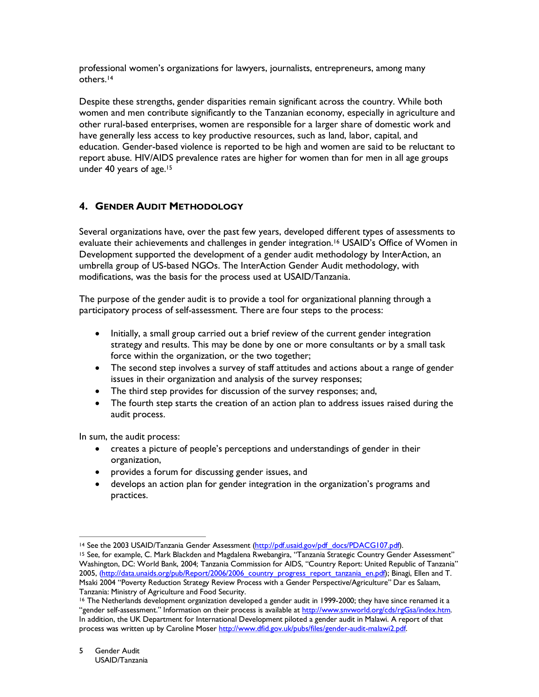professional women's organizations for lawyers, journalists, entrepreneurs, among many others.<sup>14</sup>

Despite these strengths, gender disparities remain significant across the country. While both women and men contribute significantly to the Tanzanian economy, especially in agriculture and other rural-based enterprises, women are responsible for a larger share of domestic work and have generally less access to key productive resources, such as land, labor, capital, and education. Gender-based violence is reported to be high and women are said to be reluctant to report abuse. HIV/AIDS prevalence rates are higher for women than for men in all age groups under 40 years of age.<sup>15</sup>

# **4. GENDER AUDIT METHODOLOGY**

Several organizations have, over the past few years, developed different types of assessments to evaluate their achievements and challenges in gender integration.<sup>16</sup> USAID's Office of Women in Development supported the development of a gender audit methodology by InterAction, an umbrella group of US-based NGOs. The InterAction Gender Audit methodology, with modifications, was the basis for the process used at USAID/Tanzania.

The purpose of the gender audit is to provide a tool for organizational planning through a participatory process of self-assessment. There are four steps to the process:

- $\bullet$ Initially, a small group carried out a brief review of the current gender integration strategy and results. This may be done by one or more consultants or by a small task force within the organization, or the two together;
- The second step involves a survey of staff attitudes and actions about a range of gender issues in their organization and analysis of the survey responses;
- The third step provides for discussion of the survey responses; and,
- The fourth step starts the creation of an action plan to address issues raised during the audit process.

In sum, the audit process:

- creates a picture of people's perceptions and understandings of gender in their organization,
- provides a forum for discussing gender issues, and
- develops an action plan for gender integration in the organization's programs and practices.

<sup>&</sup>lt;sup>14</sup> See the 2003 USAID/Tanzania Gender Assessment (http://pdf.usaid.gov/pdf docs/PDACG107.pdf).

<sup>&</sup>lt;sup>15</sup> See, for example, C. Mark Blackden and Magdalena Rwebangira, "Tanzania Strategic Country Gender Assessment" Washington, DC: World Bank, 2004; Tanzania Commission for AIDS, "Country Report: United Republic of Tanzania" 2005, (http://data.unaids.org/pub/Report/2006/2006\_country\_progress\_report\_tanzania\_en.pdf); Binagi, Ellen and T. Msaki 2004 "Poverty Reduction Strategy Review Process with a Gender Perspective/Agriculture" Dar es Salaam, Tanzania: Ministry of Agriculture and Food Security.

<sup>&</sup>lt;sup>16</sup> The Netherlands development organization developed a gender audit in 1999-2000; they have since renamed it a "gender self-assessment." Information on their process is available at http://www.snyworld.org/cds/rgGsa/index.htm. In addition, the UK Department for International Development piloted a gender audit in Malawi. A report of that process was written up by Caroline Moser http://www.dfid.gov.uk/pubs/files/gender-audit-malawi2.pdf.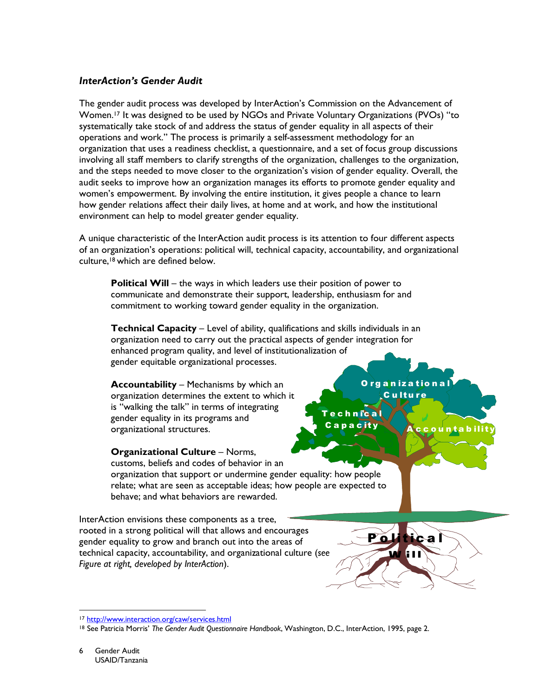# **InterAction's Gender Audit**

The gender audit process was developed by InterAction's Commission on the Advancement of Women.<sup>17</sup> It was designed to be used by NGOs and Private Voluntary Organizations (PVOs) "to systematically take stock of and address the status of gender equality in all aspects of their operations and work." The process is primarily a self-assessment methodology for an organization that uses a readiness checklist, a questionnaire, and a set of focus group discussions involving all staff members to clarify strengths of the organization, challenges to the organization, and the steps needed to move closer to the organization's vision of gender equality. Overall, the audit seeks to improve how an organization manages its efforts to promote gender equality and women's empowerment. By involving the entire institution, it gives people a chance to learn how gender relations affect their daily lives, at home and at work, and how the institutional environment can help to model greater gender equality.

A unique characteristic of the InterAction audit process is its attention to four different aspects of an organization's operations: political will, technical capacity, accountability, and organizational culture,<sup>18</sup> which are defined below.

**Political Will** – the ways in which leaders use their position of power to communicate and demonstrate their support, leadership, enthusiasm for and commitment to working toward gender equality in the organization.

Technical Capacity - Level of ability, qualifications and skills individuals in an organization need to carry out the practical aspects of gender integration for enhanced program quality, and level of institutionalization of gender equitable organizational processes.

**Accountability** – Mechanisms by which an organization determines the extent to which it is "walking the talk" in terms of integrating gender equality in its programs and organizational structures.

Organizationa C u Itu re

ntabil

chnical

c if

**Organizational Culture - Norms,** customs, beliefs and codes of behavior in an organization that support or undermine gender equality: how people relate; what are seen as acceptable ideas; how people are expected to behave: and what behaviors are rewarded.

InterAction envisions these components as a tree, rooted in a strong political will that allows and encourages gender equality to grow and branch out into the areas of technical capacity, accountability, and organizational culture (see Figure at right, developed by InterAction).

<sup>17</sup> http://www.interaction.org/caw/services.html

<sup>&</sup>lt;sup>18</sup> See Patricia Morris' The Gender Audit Questionnaire Handbook, Washington, D.C., InterAction, 1995, page 2.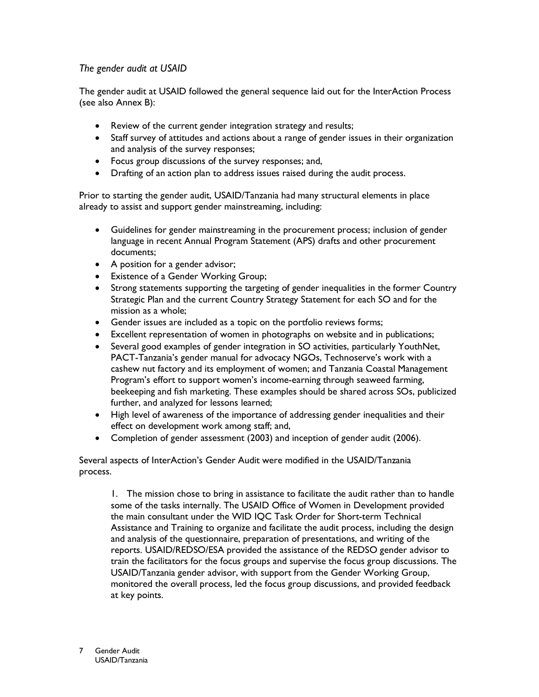# The gender audit at USAID

The gender audit at USAID followed the general sequence laid out for the InterAction Process (see also Annex B):

- Review of the current gender integration strategy and results;
- Staff survey of attitudes and actions about a range of gender issues in their organization and analysis of the survey responses;
- Focus group discussions of the survey responses; and,
- $\bullet$ Drafting of an action plan to address issues raised during the audit process.

Prior to starting the gender audit, USAID/Tanzania had many structural elements in place already to assist and support gender mainstreaming, including:

- Guidelines for gender mainstreaming in the procurement process; inclusion of gender language in recent Annual Program Statement (APS) drafts and other procurement documents;
- A position for a gender advisor;
- Existence of a Gender Working Group;
- Strong statements supporting the targeting of gender inequalities in the former Country Strategic Plan and the current Country Strategy Statement for each SO and for the mission as a whole;
- Gender issues are included as a topic on the portfolio reviews forms;
- Excellent representation of women in photographs on website and in publications;
- Several good examples of gender integration in SO activities, particularly YouthNet, PACT-Tanzania's gender manual for advocacy NGOs, Technoserve's work with a cashew nut factory and its employment of women; and Tanzania Coastal Management Program's effort to support women's income-earning through seaweed farming, beekeeping and fish marketing. These examples should be shared across SOs, publicized further, and analyzed for lessons learned;
- High level of awareness of the importance of addressing gender inequalities and their effect on development work among staff; and,
- Completion of gender assessment (2003) and inception of gender audit (2006).

Several aspects of InterAction's Gender Audit were modified in the USAID/Tanzania process.

1. The mission chose to bring in assistance to facilitate the audit rather than to handle some of the tasks internally. The USAID Office of Women in Development provided the main consultant under the WID IQC Task Order for Short-term Technical Assistance and Training to organize and facilitate the audit process, including the design and analysis of the questionnaire, preparation of presentations, and writing of the reports. USAID/REDSO/ESA provided the assistance of the REDSO gender advisor to train the facilitators for the focus groups and supervise the focus group discussions. The USAID/Tanzania gender advisor, with support from the Gender Working Group, monitored the overall process, led the focus group discussions, and provided feedback at key points.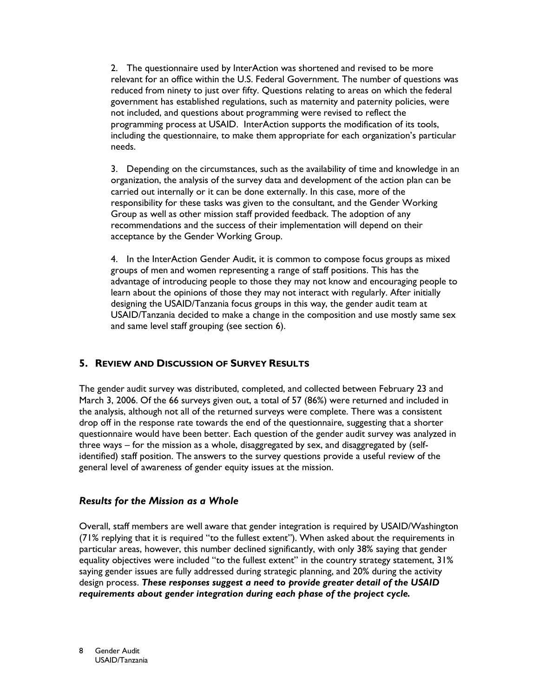2. The questionnaire used by InterAction was shortened and revised to be more relevant for an office within the U.S. Federal Government. The number of questions was reduced from ninety to just over fifty. Questions relating to areas on which the federal government has established regulations, such as maternity and paternity policies, were not included, and questions about programming were revised to reflect the programming process at USAID. InterAction supports the modification of its tools, including the questionnaire, to make them appropriate for each organization's particular needs.

3. Depending on the circumstances, such as the availability of time and knowledge in an organization, the analysis of the survey data and development of the action plan can be carried out internally or it can be done externally. In this case, more of the responsibility for these tasks was given to the consultant, and the Gender Working Group as well as other mission staff provided feedback. The adoption of any recommendations and the success of their implementation will depend on their acceptance by the Gender Working Group.

4. In the InterAction Gender Audit, it is common to compose focus groups as mixed groups of men and women representing a range of staff positions. This has the advantage of introducing people to those they may not know and encouraging people to learn about the opinions of those they may not interact with regularly. After initially designing the USAID/Tanzania focus groups in this way, the gender audit team at USAID/Tanzania decided to make a change in the composition and use mostly same sex and same level staff grouping (see section 6).

# 5. REVIEW AND DISCUSSION OF SURVEY RESULTS

The gender audit survey was distributed, completed, and collected between February 23 and March 3, 2006. Of the 66 surveys given out, a total of 57 (86%) were returned and included in the analysis, although not all of the returned surveys were complete. There was a consistent drop off in the response rate towards the end of the questionnaire, suggesting that a shorter questionnaire would have been better. Each question of the gender audit survey was analyzed in three ways - for the mission as a whole, disaggregated by sex, and disaggregated by (selfidentified) staff position. The answers to the survey questions provide a useful review of the general level of awareness of gender equity issues at the mission.

# **Results for the Mission as a Whole**

Overall, staff members are well aware that gender integration is required by USAID/Washington (71% replying that it is required "to the fullest extent"). When asked about the requirements in particular areas, however, this number declined significantly, with only 38% saying that gender equality objectives were included "to the fullest extent" in the country strategy statement, 31% saying gender issues are fully addressed during strategic planning, and 20% during the activity design process. These responses suggest a need to provide greater detail of the USAID requirements about gender integration during each phase of the project cycle.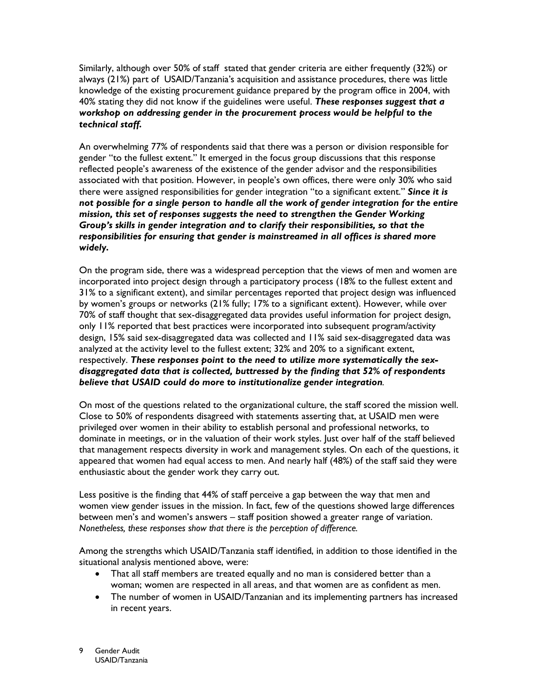Similarly, although over 50% of staff stated that gender criteria are either frequently (32%) or always (21%) part of USAID/Tanzania's acquisition and assistance procedures, there was little knowledge of the existing procurement guidance prepared by the program office in 2004, with 40% stating they did not know if the guidelines were useful. These responses suggest that a workshop on addressing gender in the procurement process would be helpful to the technical staff.

An overwhelming 77% of respondents said that there was a person or division responsible for gender "to the fullest extent." It emerged in the focus group discussions that this response reflected people's awareness of the existence of the gender advisor and the responsibilities associated with that position. However, in people's own offices, there were only 30% who said there were assigned responsibilities for gender integration "to a significant extent." Since it is not possible for a single person to handle all the work of gender integration for the entire mission, this set of responses suggests the need to strengthen the Gender Working Group's skills in gender integration and to clarify their responsibilities, so that the responsibilities for ensuring that gender is mainstreamed in all offices is shared more widely.

On the program side, there was a widespread perception that the views of men and women are incorporated into project design through a participatory process (18% to the fullest extent and 31% to a significant extent), and similar percentages reported that project design was influenced by women's groups or networks (21% fully; 17% to a significant extent). However, while over 70% of staff thought that sex-disaggregated data provides useful information for project design, only 11% reported that best practices were incorporated into subsequent program/activity design, 15% said sex-disaggregated data was collected and 11% said sex-disaggregated data was analyzed at the activity level to the fullest extent; 32% and 20% to a significant extent, respectively. These responses point to the need to utilize more systematically the sexdisaggregated data that is collected, buttressed by the finding that 52% of respondents believe that USAID could do more to institutionalize gender integration.

On most of the questions related to the organizational culture, the staff scored the mission well. Close to 50% of respondents disagreed with statements asserting that, at USAID men were privileged over women in their ability to establish personal and professional networks, to dominate in meetings, or in the valuation of their work styles. Just over half of the staff believed that management respects diversity in work and management styles. On each of the questions, it appeared that women had equal access to men. And nearly half (48%) of the staff said they were enthusiastic about the gender work they carry out.

Less positive is the finding that 44% of staff perceive a gap between the way that men and women view gender issues in the mission. In fact, few of the questions showed large differences between men's and women's answers - staff position showed a greater range of variation. Nonetheless, these responses show that there is the perception of difference.

Among the strengths which USAID/Tanzania staff identified, in addition to those identified in the situational analysis mentioned above, were:

- That all staff members are treated equally and no man is considered better than a woman; women are respected in all areas, and that women are as confident as men.
- The number of women in USAID/Tanzanian and its implementing partners has increased in recent years.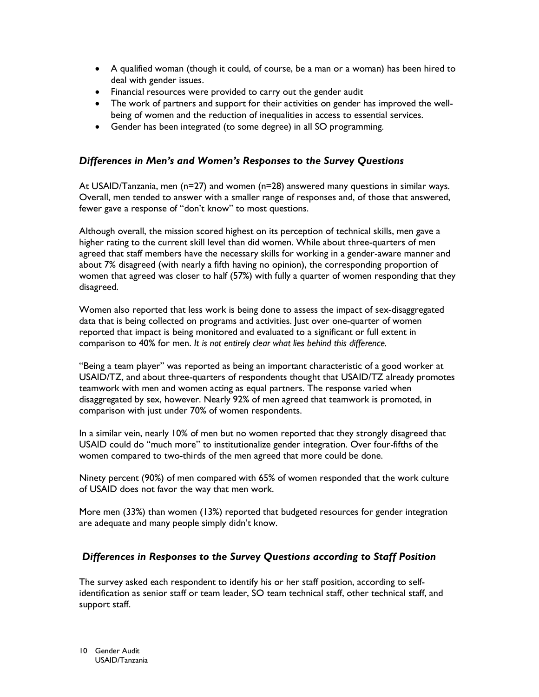- A qualified woman (though it could, of course, be a man or a woman) has been hired to deal with gender issues.
- Financial resources were provided to carry out the gender audit
- The work of partners and support for their activities on gender has improved the wellbeing of women and the reduction of inequalities in access to essential services.
- Gender has been integrated (to some degree) in all SO programming.

# Differences in Men's and Women's Responses to the Survey Questions

At USAID/Tanzania, men ( $n=27$ ) and women ( $n=28$ ) answered many questions in similar ways. Overall, men tended to answer with a smaller range of responses and, of those that answered, fewer gave a response of "don't know" to most questions.

Although overall, the mission scored highest on its perception of technical skills, men gave a higher rating to the current skill level than did women. While about three-quarters of men agreed that staff members have the necessary skills for working in a gender-aware manner and about 7% disagreed (with nearly a fifth having no opinion), the corresponding proportion of women that agreed was closer to half (57%) with fully a quarter of women responding that they disagreed.

Women also reported that less work is being done to assess the impact of sex-disaggregated data that is being collected on programs and activities. Just over one-quarter of women reported that impact is being monitored and evaluated to a significant or full extent in comparison to 40% for men. It is not entirely clear what lies behind this difference.

"Being a team player" was reported as being an important characteristic of a good worker at USAID/TZ, and about three-quarters of respondents thought that USAID/TZ already promotes teamwork with men and women acting as equal partners. The response varied when disaggregated by sex, however. Nearly 92% of men agreed that teamwork is promoted, in comparison with just under 70% of women respondents.

In a similar vein, nearly 10% of men but no women reported that they strongly disagreed that USAID could do "much more" to institutionalize gender integration. Over four-fifths of the women compared to two-thirds of the men agreed that more could be done.

Ninety percent (90%) of men compared with 65% of women responded that the work culture of USAID does not favor the way that men work.

More men (33%) than women (13%) reported that budgeted resources for gender integration are adequate and many people simply didn't know.

# Differences in Responses to the Survey Questions according to Staff Position

The survey asked each respondent to identify his or her staff position, according to selfidentification as senior staff or team leader, SO team technical staff, other technical staff, and support staff.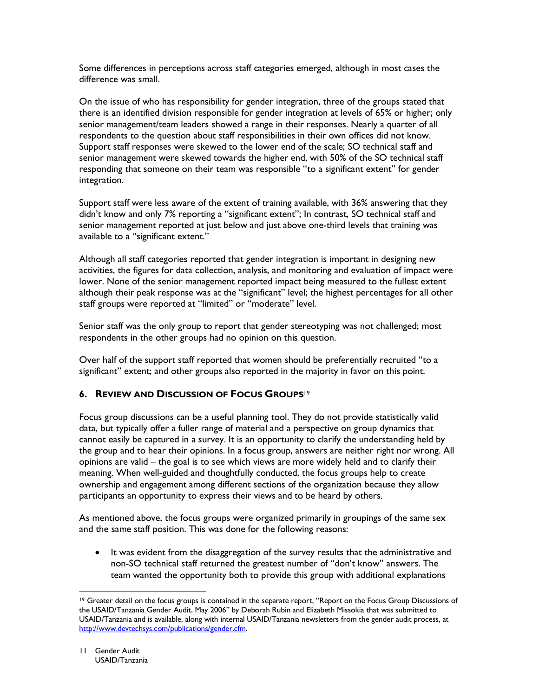Some differences in perceptions across staff categories emerged, although in most cases the difference was small.

On the issue of who has responsibility for gender integration, three of the groups stated that there is an identified division responsible for gender integration at levels of 65% or higher; only senior management/team leaders showed a range in their responses. Nearly a quarter of all respondents to the question about staff responsibilities in their own offices did not know. Support staff responses were skewed to the lower end of the scale; SO technical staff and senior management were skewed towards the higher end, with 50% of the SO technical staff responding that someone on their team was responsible "to a significant extent" for gender integration.

Support staff were less aware of the extent of training available, with 36% answering that they didn't know and only 7% reporting a "significant extent"; In contrast, SO technical staff and senior management reported at just below and just above one-third levels that training was available to a "significant extent."

Although all staff categories reported that gender integration is important in designing new activities, the figures for data collection, analysis, and monitoring and evaluation of impact were lower. None of the senior management reported impact being measured to the fullest extent although their peak response was at the "significant" level; the highest percentages for all other staff groups were reported at "limited" or "moderate" level.

Senior staff was the only group to report that gender stereotyping was not challenged; most respondents in the other groups had no opinion on this question.

Over half of the support staff reported that women should be preferentially recruited "to a significant" extent; and other groups also reported in the majority in favor on this point.

# 6. REVIEW AND DISCUSSION OF FOCUS GROUPS<sup>19</sup>

Focus group discussions can be a useful planning tool. They do not provide statistically valid data, but typically offer a fuller range of material and a perspective on group dynamics that cannot easily be captured in a survey. It is an opportunity to clarify the understanding held by the group and to hear their opinions. In a focus group, answers are neither right nor wrong. All opinions are valid – the goal is to see which views are more widely held and to clarify their meaning. When well-guided and thoughtfully conducted, the focus groups help to create ownership and engagement among different sections of the organization because they allow participants an opportunity to express their views and to be heard by others.

As mentioned above, the focus groups were organized primarily in groupings of the same sex and the same staff position. This was done for the following reasons:

 $\bullet$ It was evident from the disaggregation of the survey results that the administrative and non-SO technical staff returned the greatest number of "don't know" answers. The team wanted the opportunity both to provide this group with additional explanations

<sup>&</sup>lt;sup>19</sup> Greater detail on the focus groups is contained in the separate report, "Report on the Focus Group Discussions of the USAID/Tanzania Gender Audit, May 2006" by Deborah Rubin and Elizabeth Missokia that was submitted to USAID/Tanzania and is available, along with internal USAID/Tanzania newsletters from the gender audit process, at http://www.devtechsys.com/publications/gender.cfm.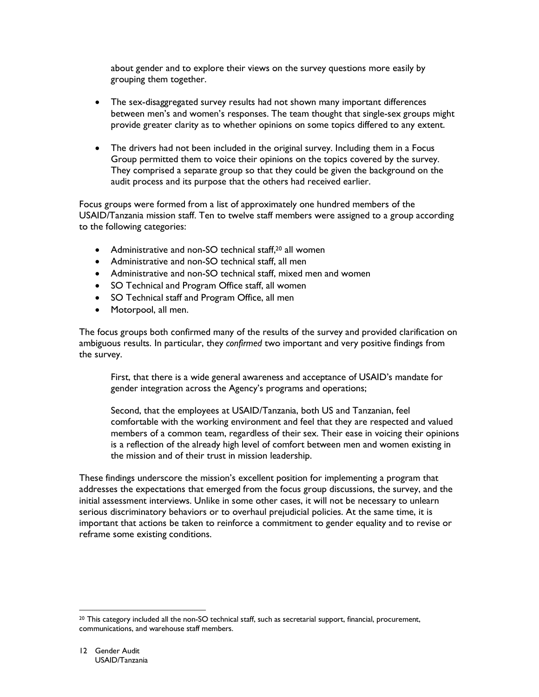about gender and to explore their views on the survey questions more easily by grouping them together.

- The sex-disaggregated survey results had not shown many important differences between men's and women's responses. The team thought that single-sex groups might provide greater clarity as to whether opinions on some topics differed to any extent.
- The drivers had not been included in the original survey. Including them in a Focus Group permitted them to voice their opinions on the topics covered by the survey. They comprised a separate group so that they could be given the background on the audit process and its purpose that the others had received earlier.

Focus groups were formed from a list of approximately one hundred members of the USAID/Tanzania mission staff. Ten to twelve staff members were assigned to a group according to the following categories:

- Administrative and non-SO technical staff.<sup>20</sup> all women
- Administrative and non-SO technical staff, all men
- Administrative and non-SO technical staff, mixed men and women
- SO Technical and Program Office staff, all women
- SO Technical staff and Program Office, all men
- Motorpool, all men.

The focus groups both confirmed many of the results of the survey and provided clarification on ambiguous results. In particular, they confirmed two important and very positive findings from the survey.

First, that there is a wide general awareness and acceptance of USAID's mandate for gender integration across the Agency's programs and operations;

Second, that the employees at USAID/Tanzania, both US and Tanzanian, feel comfortable with the working environment and feel that they are respected and valued members of a common team, regardless of their sex. Their ease in voicing their opinions is a reflection of the already high level of comfort between men and women existing in the mission and of their trust in mission leadership.

These findings underscore the mission's excellent position for implementing a program that addresses the expectations that emerged from the focus group discussions, the survey, and the initial assessment interviews. Unlike in some other cases, it will not be necessary to unlearn serious discriminatory behaviors or to overhaul prejudicial policies. At the same time, it is important that actions be taken to reinforce a commitment to gender equality and to revise or reframe some existing conditions.

<sup>&</sup>lt;sup>20</sup> This category included all the non-SO technical staff, such as secretarial support, financial, procurement, communications, and warehouse staff members.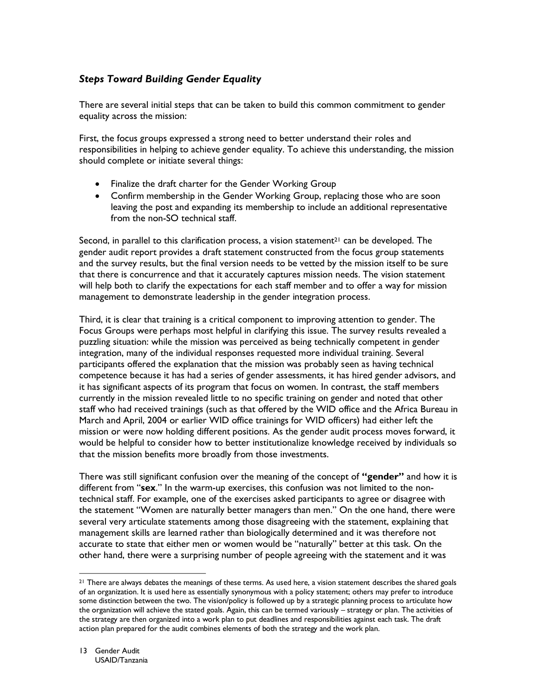# **Steps Toward Building Gender Equality**

There are several initial steps that can be taken to build this common commitment to gender equality across the mission:

First, the focus groups expressed a strong need to better understand their roles and responsibilities in helping to achieve gender equality. To achieve this understanding, the mission should complete or initiate several things:

- Finalize the draft charter for the Gender Working Group
- Confirm membership in the Gender Working Group, replacing those who are soon leaving the post and expanding its membership to include an additional representative from the non-SO technical staff.

Second, in parallel to this clarification process, a vision statement<sup>21</sup> can be developed. The gender audit report provides a draft statement constructed from the focus group statements and the survey results, but the final version needs to be vetted by the mission itself to be sure that there is concurrence and that it accurately captures mission needs. The vision statement will help both to clarify the expectations for each staff member and to offer a way for mission management to demonstrate leadership in the gender integration process.

Third, it is clear that training is a critical component to improving attention to gender. The Focus Groups were perhaps most helpful in clarifying this issue. The survey results revealed a puzzling situation: while the mission was perceived as being technically competent in gender integration, many of the individual responses requested more individual training. Several participants offered the explanation that the mission was probably seen as having technical competence because it has had a series of gender assessments, it has hired gender advisors, and it has significant aspects of its program that focus on women. In contrast, the staff members currently in the mission revealed little to no specific training on gender and noted that other staff who had received trainings (such as that offered by the WID office and the Africa Bureau in March and April, 2004 or earlier WID office trainings for WID officers) had either left the mission or were now holding different positions. As the gender audit process moves forward, it would be helpful to consider how to better institutionalize knowledge received by individuals so that the mission benefits more broadly from those investments.

There was still significant confusion over the meaning of the concept of "gender" and how it is different from "sex." In the warm-up exercises, this confusion was not limited to the nontechnical staff. For example, one of the exercises asked participants to agree or disagree with the statement "Women are naturally better managers than men." On the one hand, there were several very articulate statements among those disagreeing with the statement, explaining that management skills are learned rather than biologically determined and it was therefore not accurate to state that either men or women would be "naturally" better at this task. On the other hand, there were a surprising number of people agreeing with the statement and it was

<sup>&</sup>lt;sup>21</sup> There are always debates the meanings of these terms. As used here, a vision statement describes the shared goals of an organization. It is used here as essentially synonymous with a policy statement; others may prefer to introduce some distinction between the two. The vision/policy is followed up by a strategic planning process to articulate how the organization will achieve the stated goals. Again, this can be termed variously - strategy or plan. The activities of the strategy are then organized into a work plan to put deadlines and responsibilities against each task. The draft action plan prepared for the audit combines elements of both the strategy and the work plan.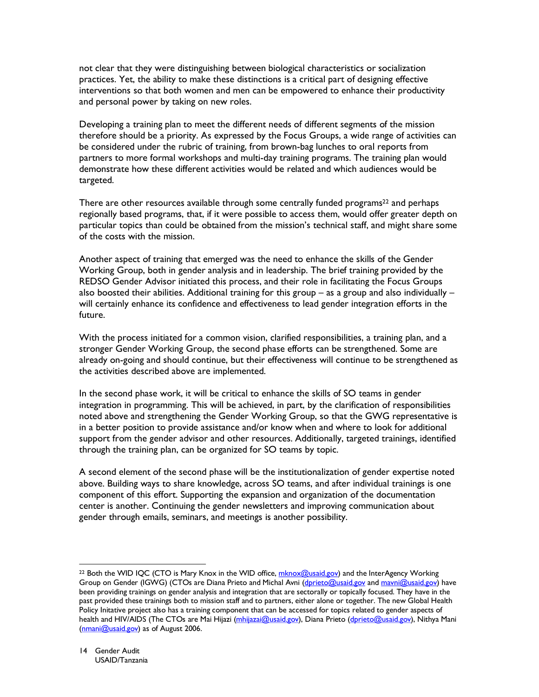not clear that they were distinguishing between biological characteristics or socialization practices. Yet, the ability to make these distinctions is a critical part of designing effective interventions so that both women and men can be empowered to enhance their productivity and personal power by taking on new roles.

Developing a training plan to meet the different needs of different segments of the mission therefore should be a priority. As expressed by the Focus Groups, a wide range of activities can be considered under the rubric of training, from brown-bag lunches to oral reports from partners to more formal workshops and multi-day training programs. The training plan would demonstrate how these different activities would be related and which audiences would be targeted.

There are other resources available through some centrally funded programs<sup>22</sup> and perhaps regionally based programs, that, if it were possible to access them, would offer greater depth on particular topics than could be obtained from the mission's technical staff, and might share some of the costs with the mission.

Another aspect of training that emerged was the need to enhance the skills of the Gender Working Group, both in gender analysis and in leadership. The brief training provided by the REDSO Gender Advisor initiated this process, and their role in facilitating the Focus Groups also boosted their abilities. Additional training for this group  $-$  as a group and also individually  $$ will certainly enhance its confidence and effectiveness to lead gender integration efforts in the future.

With the process initiated for a common vision, clarified responsibilities, a training plan, and a stronger Gender Working Group, the second phase efforts can be strengthened. Some are already on-going and should continue, but their effectiveness will continue to be strengthened as the activities described above are implemented.

In the second phase work, it will be critical to enhance the skills of SO teams in gender integration in programming. This will be achieved, in part, by the clarification of responsibilities noted above and strengthening the Gender Working Group, so that the GWG representative is in a better position to provide assistance and/or know when and where to look for additional support from the gender advisor and other resources. Additionally, targeted trainings, identified through the training plan, can be organized for SO teams by topic.

A second element of the second phase will be the institutionalization of gender expertise noted above. Building ways to share knowledge, across SO teams, and after individual trainings is one component of this effort. Supporting the expansion and organization of the documentation center is another. Continuing the gender newsletters and improving communication about gender through emails, seminars, and meetings is another possibility.

<sup>&</sup>lt;sup>22</sup> Both the WID IQC (CTO is Mary Knox in the WID office, mknox@usaid.gov) and the InterAgency Working Group on Gender (IGWG) (CTOs are Diana Prieto and Michal Avni (dprieto@usaid.gov and mayni@usaid.gov) have been providing trainings on gender analysis and integration that are sectorally or topically focused. They have in the past provided these trainings both to mission staff and to partners, either alone or together. The new Global Health Policy Initative project also has a training component that can be accessed for topics related to gender aspects of health and HIV/AIDS (The CTOs are Mai Hijazi (mhijazai@usaid.gov), Diana Prieto (dprieto@usaid.gov), Nithya Mani (nmani@usaid.gov) as of August 2006.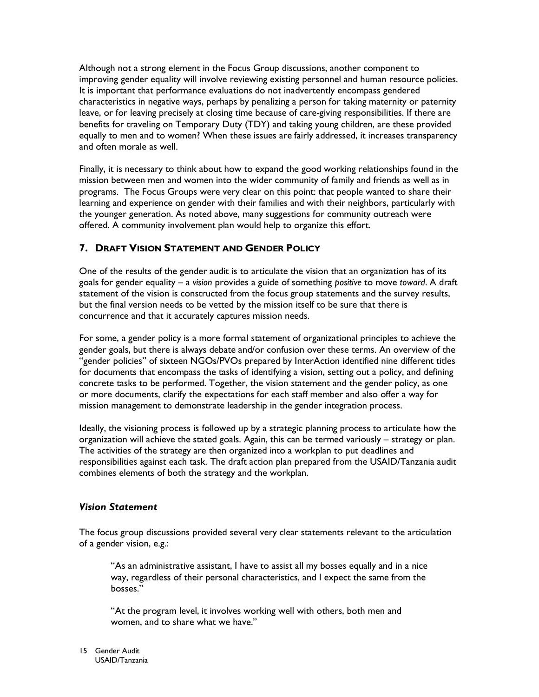Although not a strong element in the Focus Group discussions, another component to improving gender equality will involve reviewing existing personnel and human resource policies. It is important that performance evaluations do not inadvertently encompass gendered characteristics in negative ways, perhaps by penalizing a person for taking maternity or paternity leave, or for leaving precisely at closing time because of care-giving responsibilities. If there are benefits for traveling on Temporary Duty (TDY) and taking young children, are these provided equally to men and to women? When these issues are fairly addressed, it increases transparency and often morale as well.

Finally, it is necessary to think about how to expand the good working relationships found in the mission between men and women into the wider community of family and friends as well as in programs. The Focus Groups were very clear on this point: that people wanted to share their learning and experience on gender with their families and with their neighbors, particularly with the younger generation. As noted above, many suggestions for community outreach were offered. A community involvement plan would help to organize this effort.

# 7. DRAFT VISION STATEMENT AND GENDER POLICY

One of the results of the gender audit is to articulate the vision that an organization has of its goals for gender equality - a vision provides a guide of something positive to move toward. A draft statement of the vision is constructed from the focus group statements and the survey results, but the final version needs to be vetted by the mission itself to be sure that there is concurrence and that it accurately captures mission needs.

For some, a gender policy is a more formal statement of organizational principles to achieve the gender goals, but there is always debate and/or confusion over these terms. An overview of the "gender policies" of sixteen NGOs/PVOs prepared by InterAction identified nine different titles for documents that encompass the tasks of identifying a vision, setting out a policy, and defining concrete tasks to be performed. Together, the vision statement and the gender policy, as one or more documents, clarify the expectations for each staff member and also offer a way for mission management to demonstrate leadership in the gender integration process.

Ideally, the visioning process is followed up by a strategic planning process to articulate how the organization will achieve the stated goals. Again, this can be termed variously - strategy or plan. The activities of the strategy are then organized into a workplan to put deadlines and responsibilities against each task. The draft action plan prepared from the USAID/Tanzania audit combines elements of both the strategy and the workplan.

# **Vision Statement**

The focus group discussions provided several very clear statements relevant to the articulation of a gender vision, e.g.:

"As an administrative assistant, I have to assist all my bosses equally and in a nice way, regardless of their personal characteristics, and I expect the same from the hosses."

"At the program level, it involves working well with others, both men and women, and to share what we have."

15 Gender Audit USAID/Tanzania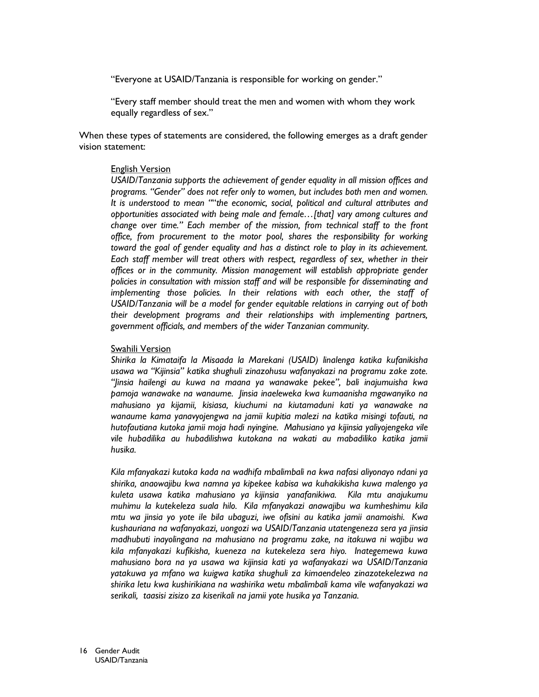"Everyone at USAID/Tanzania is responsible for working on gender."

"Every staff member should treat the men and women with whom they work equally regardless of sex."

When these types of statements are considered, the following emerges as a draft gender vision statement:

#### **English Version**

USAID/Tanzania supports the achievement of gender equality in all mission offices and programs. "Gender" does not refer only to women, but includes both men and women. It is understood to mean ""the economic, social, political and cultural attributes and opportunities associated with being male and female...[that] vary among cultures and change over time." Each member of the mission, from technical staff to the front office, from procurement to the motor pool, shares the responsibility for working toward the goal of gender equality and has a distinct role to play in its achievement. Each staff member will treat others with respect, regardless of sex, whether in their offices or in the community. Mission management will establish appropriate gender policies in consultation with mission staff and will be responsible for disseminating and implementing those policies. In their relations with each other, the staff of USAID/Tanzania will be a model for gender equitable relations in carrying out of both their development programs and their relationships with implementing partners, government officials, and members of the wider Tanzanian community.

#### Swahili Version

Shirika la Kimataifa la Misaada la Marekani (USAID) linalenga katika kufanikisha usawa wa "Kijinsia" katika shughuli zinazohusu wafanyakazi na programu zake zote. "Jinsia hailengi au kuwa na maana ya wanawake pekee", bali inajumuisha kwa pamoja wanawake na wanaume. Jinsia inaeleweka kwa kumaanisha mgawanyiko na mahusiano ya kijamii, kisiasa, kiuchumi na kiutamaduni kati ya wanawake na wanaume kama yanavyojengwa na jamii kupitia malezi na katika misingi tofauti, na hutofautiana kutoka jamii moja hadi nyingine. Mahusiano ya kijinsia yaliyojengeka vile vile hubadilika au hubadilishwa kutokana na wakati au mabadiliko katika jamii husika.

Kila mfanyakazi kutoka kada na wadhifa mbalimbali na kwa nafasi aliyonayo ndani ya shirika, anaowajibu kwa namna ya kipekee kabisa wa kuhakikisha kuwa malengo ya kuleta usawa katika mahusiano ya kijinsia yanafanikiwa. Kila mtu anajukumu muhimu la kutekeleza suala hilo. Kila mfanyakazi anawajibu wa kumheshimu kila mtu wa jinsia yo yote ile bila ubaguzi, iwe ofisini au katika jamii anamoishi. Kwa kushauriana na wafanyakazi, uongozi wa USAID/Tanzania utatengeneza sera ya jinsia madhubuti inayolingana na mahusiano na programu zake, na itakuwa ni wajibu wa kila mfanyakazi kufikisha, kueneza na kutekeleza sera hiyo. Inategemewa kuwa mahusiano bora na ya usawa wa kijinsia kati ya wafanyakazi wa USAID/Tanzania yatakuwa ya mfano wa kuigwa katika shughuli za kimaendeleo zinazotekelezwa na shirika letu kwa kushirikiana na washirika wetu mbalimbali kama vile wafanyakazi wa serikali, taasisi zisizo za kiserikali na jamii yote husika ya Tanzania.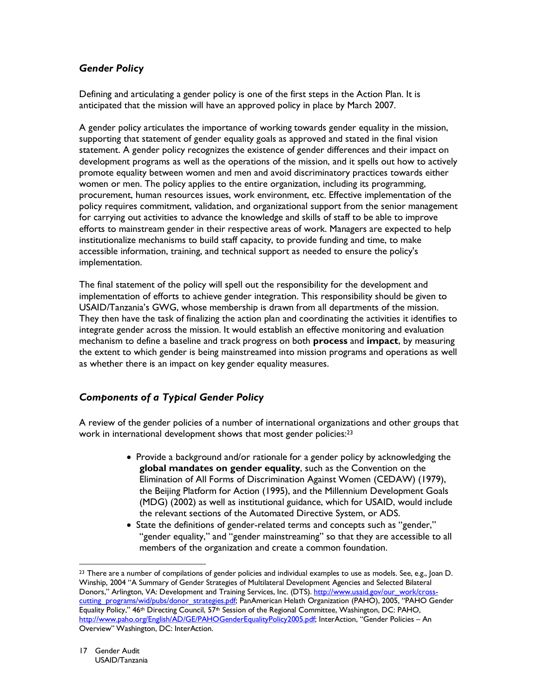# **Gender Policy**

Defining and articulating a gender policy is one of the first steps in the Action Plan. It is anticipated that the mission will have an approved policy in place by March 2007.

A gender policy articulates the importance of working towards gender equality in the mission, supporting that statement of gender equality goals as approved and stated in the final vision statement. A gender policy recognizes the existence of gender differences and their impact on development programs as well as the operations of the mission, and it spells out how to actively promote equality between women and men and avoid discriminatory practices towards either women or men. The policy applies to the entire organization, including its programming, procurement, human resources issues, work environment, etc. Effective implementation of the policy requires commitment, validation, and organizational support from the senior management for carrying out activities to advance the knowledge and skills of staff to be able to improve efforts to mainstream gender in their respective areas of work. Managers are expected to help institutionalize mechanisms to build staff capacity, to provide funding and time, to make accessible information, training, and technical support as needed to ensure the policy's implementation.

The final statement of the policy will spell out the responsibility for the development and implementation of efforts to achieve gender integration. This responsibility should be given to USAID/Tanzania's GWG, whose membership is drawn from all departments of the mission. They then have the task of finalizing the action plan and coordinating the activities it identifies to integrate gender across the mission. It would establish an effective monitoring and evaluation mechanism to define a baseline and track progress on both **process** and **impact**, by measuring the extent to which gender is being mainstreamed into mission programs and operations as well as whether there is an impact on key gender equality measures.

# **Components of a Typical Gender Policy**

A review of the gender policies of a number of international organizations and other groups that work in international development shows that most gender policies:<sup>23</sup>

- Provide a background and/or rationale for a gender policy by acknowledging the global mandates on gender equality, such as the Convention on the Elimination of All Forms of Discrimination Against Women (CEDAW) (1979), the Beijing Platform for Action (1995), and the Millennium Development Goals (MDG) (2002) as well as institutional guidance, which for USAID, would include the relevant sections of the Automated Directive System, or ADS.
- State the definitions of gender-related terms and concepts such as "gender," "gender equality," and "gender mainstreaming" so that they are accessible to all members of the organization and create a common foundation.

<sup>&</sup>lt;sup>23</sup> There are a number of compilations of gender policies and individual examples to use as models. See, e.g., Joan D. Winship, 2004 "A Summary of Gender Strategies of Multilateral Development Agencies and Selected Bilateral Donors," Arlington, VA: Development and Training Services, Inc. (DTS). http://www.usaid.gov/our\_work/crosscutting programs/wid/pubs/donor strategies.pdf; PanAmerican Helath Organization (PAHO), 2005, "PAHO Gender Equality Policy," 46<sup>th</sup> Directing Council, 57<sup>th</sup> Session of the Regional Committee, Washington, DC: PAHO, http://www.paho.org/English/AD/GE/PAHOGenderEqualityPolicy2005.pdf; InterAction, "Gender Policies - An Overview" Washington, DC: InterAction.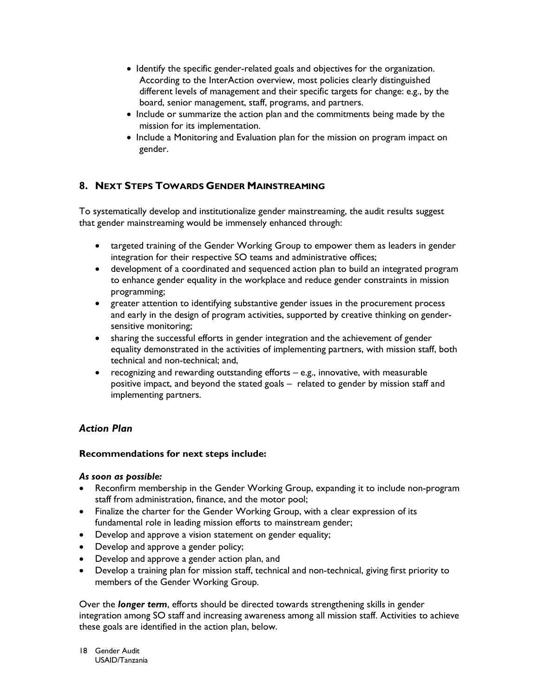- Identify the specific gender-related goals and objectives for the organization. According to the InterAction overview, most policies clearly distinguished different levels of management and their specific targets for change: e.g., by the board, senior management, staff, programs, and partners.
- Include or summarize the action plan and the commitments being made by the mission for its implementation.
- Include a Monitoring and Evaluation plan for the mission on program impact on gender.

# 8. NEXT STEPS TOWARDS GENDER MAINSTREAMING

To systematically develop and institutionalize gender mainstreaming, the audit results suggest that gender mainstreaming would be immensely enhanced through:

- targeted training of the Gender Working Group to empower them as leaders in gender integration for their respective SO teams and administrative offices;
- development of a coordinated and sequenced action plan to build an integrated program to enhance gender equality in the workplace and reduce gender constraints in mission programming;
- greater attention to identifying substantive gender issues in the procurement process and early in the design of program activities, supported by creative thinking on gendersensitive monitoring;
- sharing the successful efforts in gender integration and the achievement of gender equality demonstrated in the activities of implementing partners, with mission staff, both technical and non-technical; and,
- recognizing and rewarding outstanding efforts e.g., innovative, with measurable positive impact, and beyond the stated goals - related to gender by mission staff and implementing partners.

# **Action Plan**

# Recommendations for next steps include:

### As soon as possible:

- Reconfirm membership in the Gender Working Group, expanding it to include non-program staff from administration, finance, and the motor pool;
- Finalize the charter for the Gender Working Group, with a clear expression of its fundamental role in leading mission efforts to mainstream gender;
- Develop and approve a vision statement on gender equality;
- Develop and approve a gender policy;
- Develop and approve a gender action plan, and
- Develop a training plan for mission staff, technical and non-technical, giving first priority to members of the Gender Working Group.

Over the longer term, efforts should be directed towards strengthening skills in gender integration among SO staff and increasing awareness among all mission staff. Activities to achieve these goals are identified in the action plan, below.

18 Gender Audit USAID/Tanzania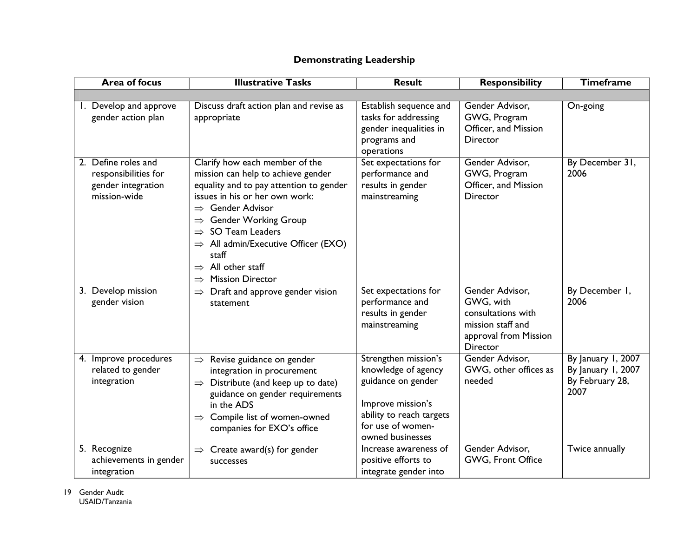| <b>Area of focus</b>                                                              | <b>Illustrative Tasks</b>                                                                                                                                                                                                                                                                                                                                                                     | <b>Result</b>                                                                                                                                               | <b>Responsibility</b>                                                                                               | <b>Timeframe</b>                                                    |
|-----------------------------------------------------------------------------------|-----------------------------------------------------------------------------------------------------------------------------------------------------------------------------------------------------------------------------------------------------------------------------------------------------------------------------------------------------------------------------------------------|-------------------------------------------------------------------------------------------------------------------------------------------------------------|---------------------------------------------------------------------------------------------------------------------|---------------------------------------------------------------------|
|                                                                                   |                                                                                                                                                                                                                                                                                                                                                                                               |                                                                                                                                                             |                                                                                                                     |                                                                     |
| I. Develop and approve<br>gender action plan                                      | Discuss draft action plan and revise as<br>appropriate                                                                                                                                                                                                                                                                                                                                        | Establish sequence and<br>tasks for addressing<br>gender inequalities in<br>programs and<br>operations                                                      | Gender Advisor,<br>GWG, Program<br>Officer, and Mission<br><b>Director</b>                                          | On-going                                                            |
| 2. Define roles and<br>responsibilities for<br>gender integration<br>mission-wide | Clarify how each member of the<br>mission can help to achieve gender<br>equality and to pay attention to gender<br>issues in his or her own work:<br>$\Rightarrow$ Gender Advisor<br><b>Gender Working Group</b><br>$\Rightarrow$<br>SO Team Leaders<br>$\Rightarrow$ All admin/Executive Officer (EXO)<br>staff<br>$\Rightarrow$ All other staff<br><b>Mission Director</b><br>$\Rightarrow$ | Set expectations for<br>performance and<br>results in gender<br>mainstreaming                                                                               | Gender Advisor,<br>GWG, Program<br>Officer, and Mission<br><b>Director</b>                                          | By December 31,<br>2006                                             |
| 3. Develop mission<br>gender vision                                               | $\Rightarrow$ Draft and approve gender vision<br>statement                                                                                                                                                                                                                                                                                                                                    | Set expectations for<br>performance and<br>results in gender<br>mainstreaming                                                                               | Gender Advisor,<br>GWG, with<br>consultations with<br>mission staff and<br>approval from Mission<br><b>Director</b> | By December 1,<br>2006                                              |
| 4. Improve procedures<br>related to gender<br>integration                         | $\Rightarrow$ Revise guidance on gender<br>integration in procurement<br>$\Rightarrow$ Distribute (and keep up to date)<br>guidance on gender requirements<br>in the ADS<br>Compile list of women-owned<br>$\Rightarrow$<br>companies for EXO's office                                                                                                                                        | Strengthen mission's<br>knowledge of agency<br>guidance on gender<br>Improve mission's<br>ability to reach targets<br>for use of women-<br>owned businesses | Gender Advisor,<br>GWG, other offices as<br>needed                                                                  | By January 1, 2007<br>By January 1, 2007<br>By February 28,<br>2007 |
| 5. Recognize<br>achievements in gender<br>integration                             | $\Rightarrow$ Create award(s) for gender<br>successes                                                                                                                                                                                                                                                                                                                                         | Increase awareness of<br>positive efforts to<br>integrate gender into                                                                                       | Gender Advisor,<br>GWG, Front Office                                                                                | Twice annually                                                      |

# **Demonstrating Leadership**

19 Gender Audit USAID/Tanzania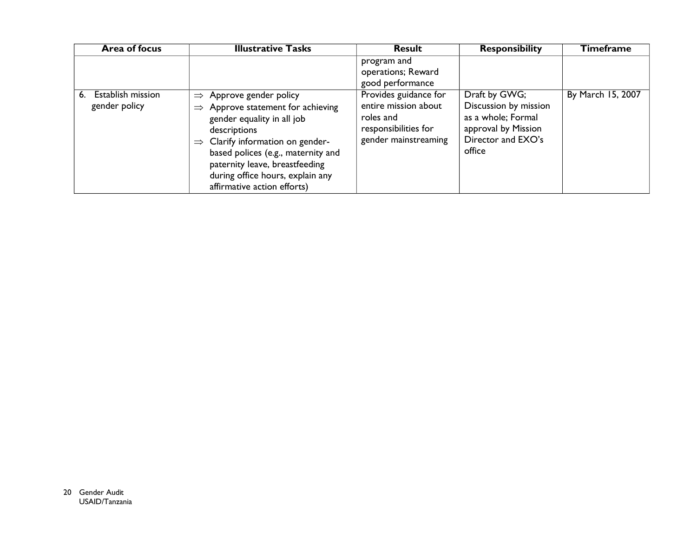| <b>Area of focus</b>                     | <b>Illustrative Tasks</b>                                                                                                                                                                                                                                                                                                        | <b>Result</b>                                                                                              | <b>Responsibility</b>                                                                                               | <b>Timeframe</b>  |
|------------------------------------------|----------------------------------------------------------------------------------------------------------------------------------------------------------------------------------------------------------------------------------------------------------------------------------------------------------------------------------|------------------------------------------------------------------------------------------------------------|---------------------------------------------------------------------------------------------------------------------|-------------------|
|                                          |                                                                                                                                                                                                                                                                                                                                  | program and<br>operations; Reward<br>good performance                                                      |                                                                                                                     |                   |
| Establish mission<br>6.<br>gender policy | $\Rightarrow$ Approve gender policy<br>Approve statement for achieving<br>$\Rightarrow$<br>gender equality in all job<br>descriptions<br>$\Rightarrow$ Clarify information on gender-<br>based polices (e.g., maternity and<br>paternity leave, breastfeeding<br>during office hours, explain any<br>affirmative action efforts) | Provides guidance for<br>entire mission about<br>roles and<br>responsibilities for<br>gender mainstreaming | Draft by GWG;<br>Discussion by mission<br>as a whole; Formal<br>approval by Mission<br>Director and EXO's<br>office | By March 15, 2007 |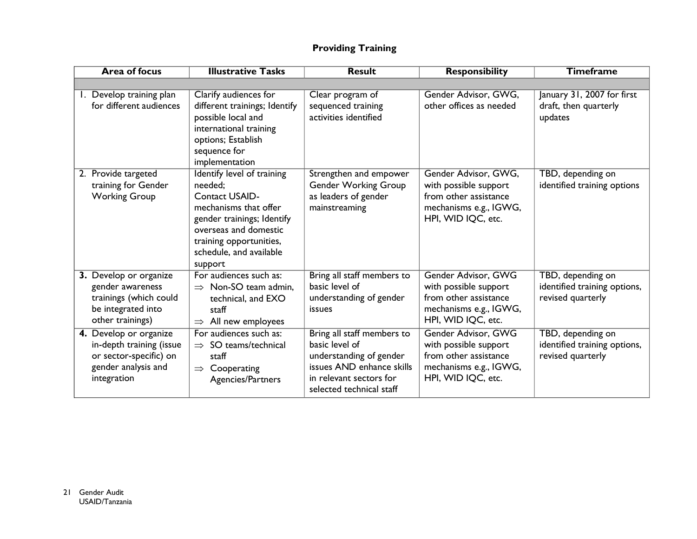# **Providing Training**

| <b>Area of focus</b>                                                                                               | <b>Illustrative Tasks</b>                                                                                                                                                                                       | <b>Result</b>                                                                                                                                               | <b>Responsibility</b>                                                                                                  | <b>Timeframe</b>                                                       |
|--------------------------------------------------------------------------------------------------------------------|-----------------------------------------------------------------------------------------------------------------------------------------------------------------------------------------------------------------|-------------------------------------------------------------------------------------------------------------------------------------------------------------|------------------------------------------------------------------------------------------------------------------------|------------------------------------------------------------------------|
|                                                                                                                    |                                                                                                                                                                                                                 |                                                                                                                                                             |                                                                                                                        |                                                                        |
| 1. Develop training plan<br>for different audiences                                                                | Clarify audiences for<br>different trainings; Identify<br>possible local and<br>international training<br>options; Establish<br>sequence for<br>implementation                                                  | Clear program of<br>sequenced training<br>activities identified                                                                                             | Gender Advisor, GWG,<br>other offices as needed                                                                        | January 31, 2007 for first<br>draft, then quarterly<br>updates         |
| 2. Provide targeted<br>training for Gender<br><b>Working Group</b>                                                 | Identify level of training<br>needed;<br><b>Contact USAID-</b><br>mechanisms that offer<br>gender trainings; Identify<br>overseas and domestic<br>training opportunities,<br>schedule, and available<br>support | Strengthen and empower<br><b>Gender Working Group</b><br>as leaders of gender<br>mainstreaming                                                              | Gender Advisor, GWG,<br>with possible support<br>from other assistance<br>mechanisms e.g., IGWG,<br>HPI, WID IQC, etc. | TBD, depending on<br>identified training options                       |
| 3. Develop or organize<br>gender awareness<br>trainings (which could<br>be integrated into<br>other trainings)     | For audiences such as:<br>$\Rightarrow$ Non-SO team admin,<br>technical, and EXO<br>staff<br>All new employees<br>$\Rightarrow$                                                                                 | Bring all staff members to<br>basic level of<br>understanding of gender<br>issues                                                                           | Gender Advisor, GWG<br>with possible support<br>from other assistance<br>mechanisms e.g., IGWG,<br>HPI, WID IQC, etc.  | TBD, depending on<br>identified training options,<br>revised quarterly |
| 4. Develop or organize<br>in-depth training (issue<br>or sector-specific) on<br>gender analysis and<br>integration | For audiences such as:<br>SO teams/technical<br>$\Rightarrow$<br>staff<br>Cooperating<br>$\Rightarrow$<br>Agencies/Partners                                                                                     | Bring all staff members to<br>basic level of<br>understanding of gender<br>issues AND enhance skills<br>in relevant sectors for<br>selected technical staff | Gender Advisor, GWG<br>with possible support<br>from other assistance<br>mechanisms e.g., IGWG,<br>HPI, WID IQC, etc.  | TBD, depending on<br>identified training options,<br>revised quarterly |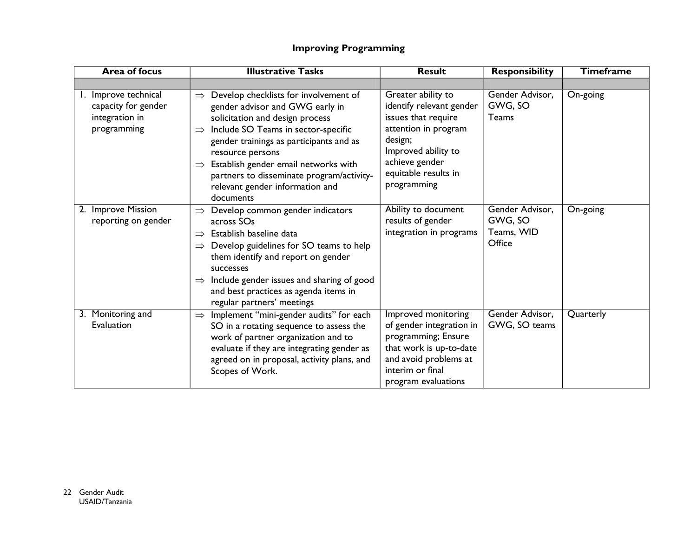# **Improving Programming**

| <b>Area of focus</b>                                                         | <b>Illustrative Tasks</b>                                                                                                                                                                                                                                                                                                                                                                                 | <b>Result</b>                                                                                                                                                                            | <b>Responsibility</b>                              | <b>Timeframe</b> |
|------------------------------------------------------------------------------|-----------------------------------------------------------------------------------------------------------------------------------------------------------------------------------------------------------------------------------------------------------------------------------------------------------------------------------------------------------------------------------------------------------|------------------------------------------------------------------------------------------------------------------------------------------------------------------------------------------|----------------------------------------------------|------------------|
|                                                                              |                                                                                                                                                                                                                                                                                                                                                                                                           |                                                                                                                                                                                          |                                                    |                  |
| 1. Improve technical<br>capacity for gender<br>integration in<br>programming | Develop checklists for involvement of<br>$\Rightarrow$<br>gender advisor and GWG early in<br>solicitation and design process<br>Include SO Teams in sector-specific<br>$\Rightarrow$<br>gender trainings as participants and as<br>resource persons<br>Establish gender email networks with<br>$\Rightarrow$<br>partners to disseminate program/activity-<br>relevant gender information and<br>documents | Greater ability to<br>identify relevant gender<br>issues that require<br>attention in program<br>design;<br>Improved ability to<br>achieve gender<br>equitable results in<br>programming | Gender Advisor,<br>GWG, SO<br>Teams                | On-going         |
| 2. Improve Mission<br>reporting on gender                                    | $\Rightarrow$ Develop common gender indicators<br>across SOs<br>Establish baseline data<br>$\Rightarrow$<br>Develop guidelines for SO teams to help<br>them identify and report on gender<br>successes<br>Include gender issues and sharing of good<br>$\Rightarrow$<br>and best practices as agenda items in<br>regular partners' meetings                                                               | Ability to document<br>results of gender<br>integration in programs                                                                                                                      | Gender Advisor,<br>GWG, SO<br>Teams, WID<br>Office | On-going         |
| 3. Monitoring and<br>Evaluation                                              | Implement "mini-gender audits" for each<br>$\Rightarrow$<br>SO in a rotating sequence to assess the<br>work of partner organization and to<br>evaluate if they are integrating gender as<br>agreed on in proposal, activity plans, and<br>Scopes of Work.                                                                                                                                                 | Improved monitoring<br>of gender integration in<br>programming; Ensure<br>that work is up-to-date<br>and avoid problems at<br>interim or final<br>program evaluations                    | Gender Advisor,<br>GWG, SO teams                   | Quarterly        |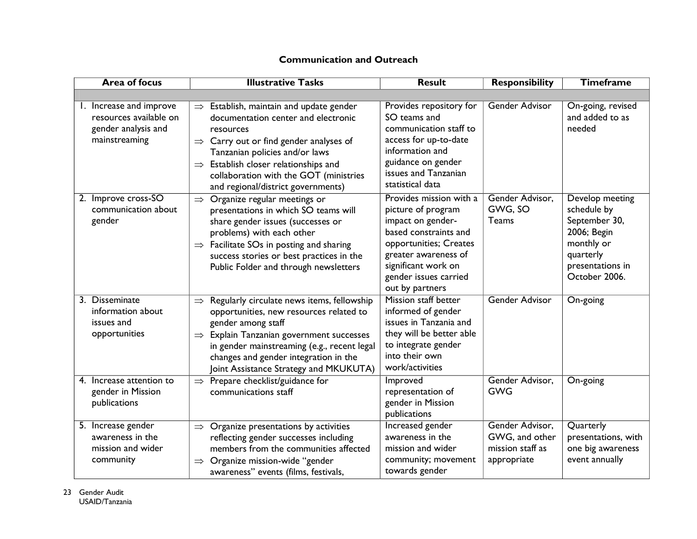| <b>Area of focus</b>                                                                      | <b>Illustrative Tasks</b>                                                                                                                                                                                                                                                                                                           | <b>Result</b>                                                                                                                                                                                                    | <b>Responsibility</b>                                                | <b>Timeframe</b>                                                                                                               |  |
|-------------------------------------------------------------------------------------------|-------------------------------------------------------------------------------------------------------------------------------------------------------------------------------------------------------------------------------------------------------------------------------------------------------------------------------------|------------------------------------------------------------------------------------------------------------------------------------------------------------------------------------------------------------------|----------------------------------------------------------------------|--------------------------------------------------------------------------------------------------------------------------------|--|
|                                                                                           |                                                                                                                                                                                                                                                                                                                                     |                                                                                                                                                                                                                  |                                                                      |                                                                                                                                |  |
| 1. Increase and improve<br>resources available on<br>gender analysis and<br>mainstreaming | $\Rightarrow$ Establish, maintain and update gender<br>documentation center and electronic<br>resources<br>$\Rightarrow$ Carry out or find gender analyses of<br>Tanzanian policies and/or laws<br>$\Rightarrow$ Establish closer relationships and<br>collaboration with the GOT (ministries<br>and regional/district governments) | Provides repository for<br>SO teams and<br>communication staff to<br>access for up-to-date<br>information and<br>guidance on gender<br>issues and Tanzanian<br>statistical data                                  | Gender Advisor                                                       | On-going, revised<br>and added to as<br>needed                                                                                 |  |
| 2. Improve cross-SO<br>communication about<br>gender                                      | Organize regular meetings or<br>$\Rightarrow$<br>presentations in which SO teams will<br>share gender issues (successes or<br>problems) with each other<br>$\Rightarrow$ Facilitate SOs in posting and sharing<br>success stories or best practices in the<br>Public Folder and through newsletters                                 | Provides mission with a<br>picture of program<br>impact on gender-<br>based constraints and<br>opportunities; Creates<br>greater awareness of<br>significant work on<br>gender issues carried<br>out by partners | Gender Advisor,<br>GWG, SO<br>Teams                                  | Develop meeting<br>schedule by<br>September 30,<br>2006; Begin<br>monthly or<br>quarterly<br>presentations in<br>October 2006. |  |
| 3. Disseminate<br>information about<br>issues and<br>opportunities                        | Regularly circulate news items, fellowship<br>$\Rightarrow$<br>opportunities, new resources related to<br>gender among staff<br>$\Rightarrow$ Explain Tanzanian government successes<br>in gender mainstreaming (e.g., recent legal<br>changes and gender integration in the<br>Joint Assistance Strategy and MKUKUTA)              | Mission staff better<br>informed of gender<br>issues in Tanzania and<br>they will be better able<br>to integrate gender<br>into their own<br>work/activities                                                     | <b>Gender Advisor</b>                                                | On-going                                                                                                                       |  |
| 4. Increase attention to<br>gender in Mission<br>publications                             | Prepare checklist/guidance for<br>$\Rightarrow$<br>communications staff                                                                                                                                                                                                                                                             | Improved<br>representation of<br>gender in Mission<br>publications                                                                                                                                               | Gender Advisor,<br><b>GWG</b>                                        | $On-going$                                                                                                                     |  |
| 5. Increase gender<br>awareness in the<br>mission and wider<br>community                  | $\Rightarrow$ Organize presentations by activities<br>reflecting gender successes including<br>members from the communities affected<br>$\Rightarrow$ Organize mission-wide "gender<br>awareness" events (films, festivals,                                                                                                         | Increased gender<br>awareness in the<br>mission and wider<br>community; movement<br>towards gender                                                                                                               | Gender Advisor,<br>GWG, and other<br>mission staff as<br>appropriate | Quarterly<br>presentations, with<br>one big awareness<br>event annually                                                        |  |

# **Communication and Outreach**

23 Gender Audit USAID/Tanzania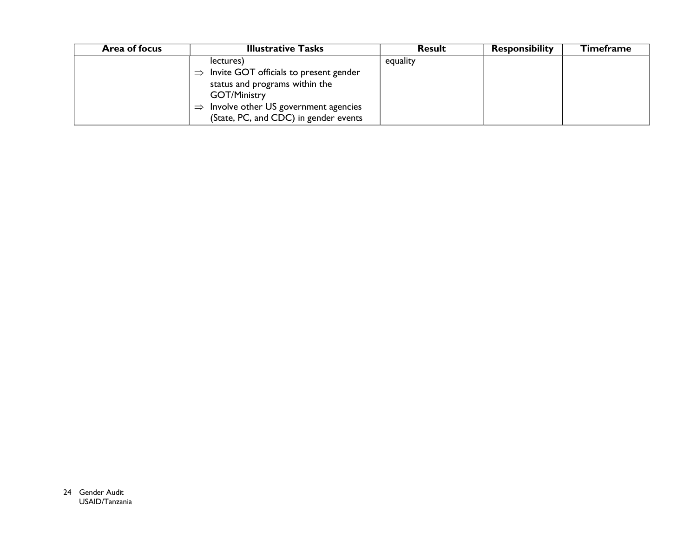| <b>Illustrative Tasks</b><br>Area of focus |                                                      | <b>Result</b> | <b>Responsibility</b> | Timeframe |
|--------------------------------------------|------------------------------------------------------|---------------|-----------------------|-----------|
|                                            | lectures)                                            | equality      |                       |           |
|                                            | $\Rightarrow$ Invite GOT officials to present gender |               |                       |           |
|                                            | status and programs within the                       |               |                       |           |
|                                            | <b>GOT/Ministry</b>                                  |               |                       |           |
|                                            | $\Rightarrow$ Involve other US government agencies   |               |                       |           |
|                                            | (State, PC, and CDC) in gender events                |               |                       |           |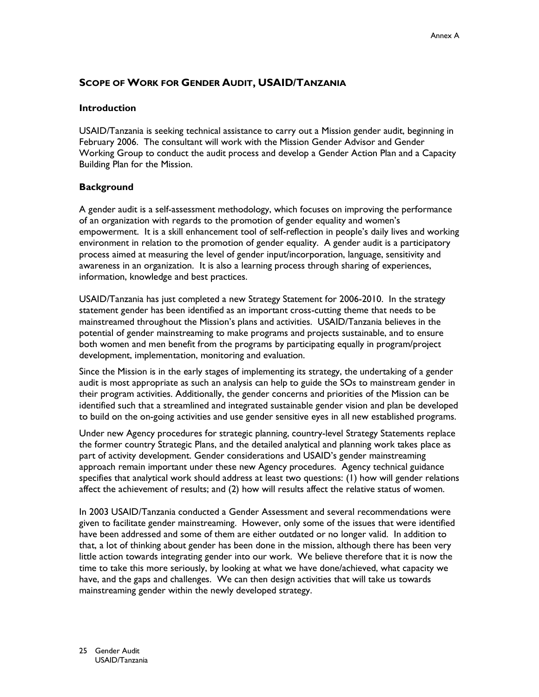# **SCOPE OF WORK FOR GENDER AUDIT, USAID/TANZANIA**

#### **Introduction**

USAID/Tanzania is seeking technical assistance to carry out a Mission gender audit, beginning in February 2006. The consultant will work with the Mission Gender Advisor and Gender Working Group to conduct the audit process and develop a Gender Action Plan and a Capacity Building Plan for the Mission.

### **Background**

A gender audit is a self-assessment methodology, which focuses on improving the performance of an organization with regards to the promotion of gender equality and women's empowerment. It is a skill enhancement tool of self-reflection in people's daily lives and working environment in relation to the promotion of gender equality. A gender audit is a participatory process aimed at measuring the level of gender input/incorporation, language, sensitivity and awareness in an organization. It is also a learning process through sharing of experiences, information, knowledge and best practices.

USAID/Tanzania has just completed a new Strategy Statement for 2006-2010. In the strategy statement gender has been identified as an important cross-cutting theme that needs to be mainstreamed throughout the Mission's plans and activities. USAID/Tanzania believes in the potential of gender mainstreaming to make programs and projects sustainable, and to ensure both women and men benefit from the programs by participating equally in program/project development, implementation, monitoring and evaluation.

Since the Mission is in the early stages of implementing its strategy, the undertaking of a gender audit is most appropriate as such an analysis can help to guide the SOs to mainstream gender in their program activities. Additionally, the gender concerns and priorities of the Mission can be identified such that a streamlined and integrated sustainable gender vision and plan be developed to build on the on-going activities and use gender sensitive eyes in all new established programs.

Under new Agency procedures for strategic planning, country-level Strategy Statements replace the former country Strategic Plans, and the detailed analytical and planning work takes place as part of activity development. Gender considerations and USAID's gender mainstreaming approach remain important under these new Agency procedures. Agency technical guidance specifies that analytical work should address at least two questions: (1) how will gender relations affect the achievement of results; and (2) how will results affect the relative status of women.

In 2003 USAID/Tanzania conducted a Gender Assessment and several recommendations were given to facilitate gender mainstreaming. However, only some of the issues that were identified have been addressed and some of them are either outdated or no longer valid. In addition to that, a lot of thinking about gender has been done in the mission, although there has been very little action towards integrating gender into our work. We believe therefore that it is now the time to take this more seriously, by looking at what we have done/achieved, what capacity we have, and the gaps and challenges. We can then design activities that will take us towards mainstreaming gender within the newly developed strategy.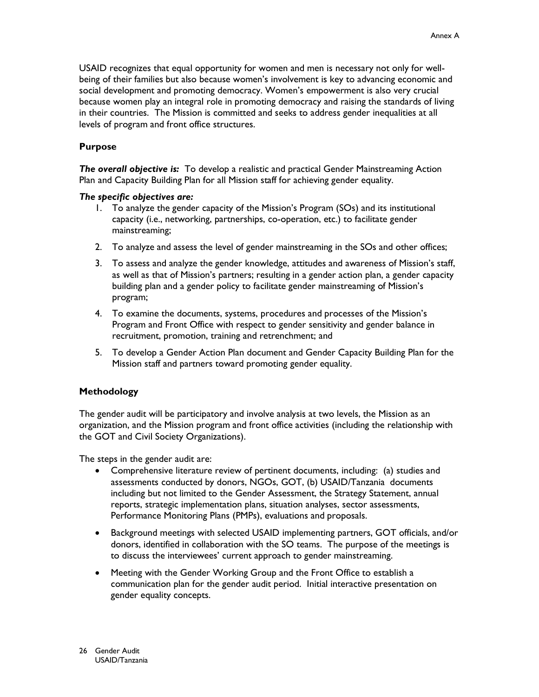USAID recognizes that equal opportunity for women and men is necessary not only for wellbeing of their families but also because women's involvement is key to advancing economic and social development and promoting democracy. Women's empowerment is also very crucial because women play an integral role in promoting democracy and raising the standards of living in their countries. The Mission is committed and seeks to address gender inequalities at all levels of program and front office structures.

### **Purpose**

The overall objective is: To develop a realistic and practical Gender Mainstreaming Action Plan and Capacity Building Plan for all Mission staff for achieving gender equality.

#### The specific objectives are:

- 1. To analyze the gender capacity of the Mission's Program (SOs) and its institutional capacity (i.e., networking, partnerships, co-operation, etc.) to facilitate gender mainstreaming;
- 2. To analyze and assess the level of gender mainstreaming in the SOs and other offices;
- 3. To assess and analyze the gender knowledge, attitudes and awareness of Mission's staff, as well as that of Mission's partners; resulting in a gender action plan, a gender capacity building plan and a gender policy to facilitate gender mainstreaming of Mission's program;
- 4. To examine the documents, systems, procedures and processes of the Mission's Program and Front Office with respect to gender sensitivity and gender balance in recruitment, promotion, training and retrenchment; and
- 5. To develop a Gender Action Plan document and Gender Capacity Building Plan for the Mission staff and partners toward promoting gender equality.

### **Methodology**

The gender audit will be participatory and involve analysis at two levels, the Mission as an organization, and the Mission program and front office activities (including the relationship with the GOT and Civil Society Organizations).

The steps in the gender audit are:

- Comprehensive literature review of pertinent documents, including: (a) studies and assessments conducted by donors, NGOs, GOT, (b) USAID/Tanzania documents including but not limited to the Gender Assessment, the Strategy Statement, annual reports, strategic implementation plans, situation analyses, sector assessments, Performance Monitoring Plans (PMPs), evaluations and proposals.
- Background meetings with selected USAID implementing partners, GOT officials, and/or donors, identified in collaboration with the SO teams. The purpose of the meetings is to discuss the interviewees' current approach to gender mainstreaming.
- Meeting with the Gender Working Group and the Front Office to establish a communication plan for the gender audit period. Initial interactive presentation on gender equality concepts.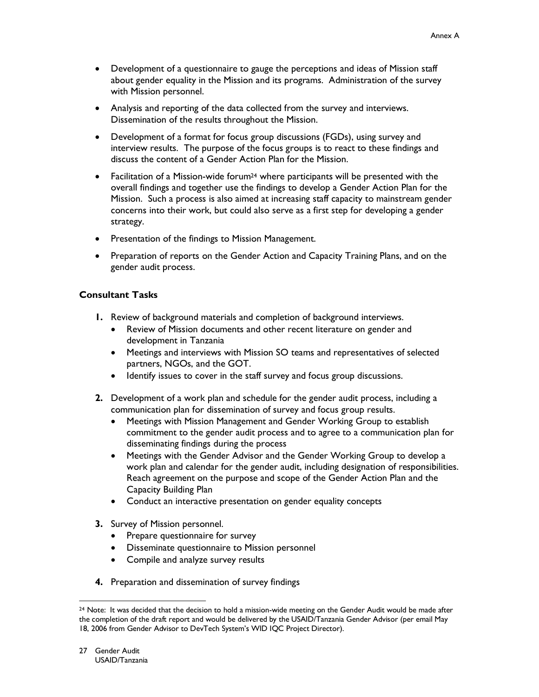- Development of a questionnaire to gauge the perceptions and ideas of Mission staff about gender equality in the Mission and its programs. Administration of the survey with Mission personnel.
- Analysis and reporting of the data collected from the survey and interviews. Dissemination of the results throughout the Mission.
- Development of a format for focus group discussions (FGDs), using survey and interview results. The purpose of the focus groups is to react to these findings and discuss the content of a Gender Action Plan for the Mission.
- Facilitation of a Mission-wide forum<sup>24</sup> where participants will be presented with the overall findings and together use the findings to develop a Gender Action Plan for the Mission. Such a process is also aimed at increasing staff capacity to mainstream gender concerns into their work, but could also serve as a first step for developing a gender strategy.
- Presentation of the findings to Mission Management.
- Preparation of reports on the Gender Action and Capacity Training Plans, and on the gender audit process.

# **Consultant Tasks**

- **I.** Review of background materials and completion of background interviews.
	- $\bullet$ Review of Mission documents and other recent literature on gender and development in Tanzania
	- $\bullet$ Meetings and interviews with Mission SO teams and representatives of selected partners, NGOs, and the GOT.
	- $\bullet$ Identify issues to cover in the staff survey and focus group discussions.
- 2. Development of a work plan and schedule for the gender audit process, including a communication plan for dissemination of survey and focus group results.
	- Meetings with Mission Management and Gender Working Group to establish  $\bullet$ commitment to the gender audit process and to agree to a communication plan for disseminating findings during the process
	- Meetings with the Gender Advisor and the Gender Working Group to develop a  $\bullet$ work plan and calendar for the gender audit, including designation of responsibilities. Reach agreement on the purpose and scope of the Gender Action Plan and the Capacity Building Plan
	- Conduct an interactive presentation on gender equality concepts  $\bullet$
- 3. Survey of Mission personnel.
	- Prepare questionnaire for survey
	- Disseminate questionnaire to Mission personnel
	- Compile and analyze survey results
- 4. Preparation and dissemination of survey findings

<sup>&</sup>lt;sup>24</sup> Note: It was decided that the decision to hold a mission-wide meeting on the Gender Audit would be made after the completion of the draft report and would be delivered by the USAID/Tanzania Gender Advisor (per email May 18, 2006 from Gender Advisor to DevTech System's WID IQC Project Director).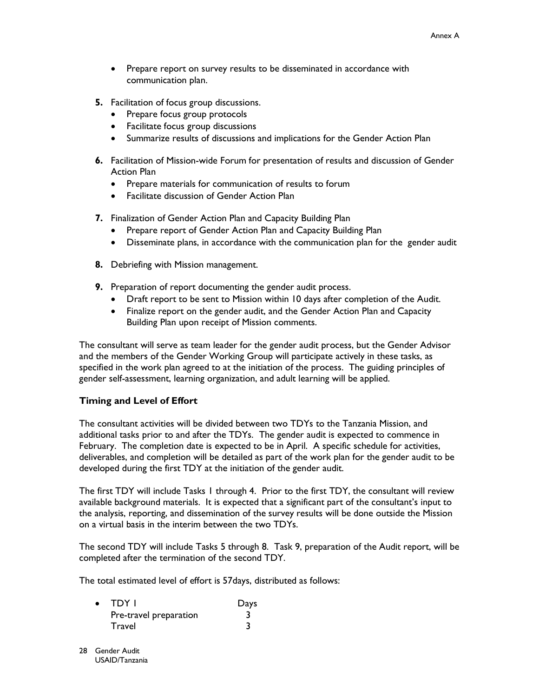- Prepare report on survey results to be disseminated in accordance with communication plan.
- 5. Facilitation of focus group discussions.
	- Prepare focus group protocols
	- Facilitate focus group discussions
	- Summarize results of discussions and implications for the Gender Action Plan
- 6. Facilitation of Mission-wide Forum for presentation of results and discussion of Gender Action Plan
	- Prepare materials for communication of results to forum  $\bullet$
	- Facilitate discussion of Gender Action Plan
- 7. Finalization of Gender Action Plan and Capacity Building Plan
	- Prepare report of Gender Action Plan and Capacity Building Plan
	- Disseminate plans, in accordance with the communication plan for the gender audit  $\bullet$
- 8. Debriefing with Mission management.
- 9. Preparation of report documenting the gender audit process.
	- Draft report to be sent to Mission within 10 days after completion of the Audit.  $\bullet$
	- $\bullet$ Finalize report on the gender audit, and the Gender Action Plan and Capacity Building Plan upon receipt of Mission comments.

The consultant will serve as team leader for the gender audit process, but the Gender Advisor and the members of the Gender Working Group will participate actively in these tasks, as specified in the work plan agreed to at the initiation of the process. The guiding principles of gender self-assessment, learning organization, and adult learning will be applied.

### **Timing and Level of Effort**

The consultant activities will be divided between two TDYs to the Tanzania Mission, and additional tasks prior to and after the TDYs. The gender audit is expected to commence in February. The completion date is expected to be in April. A specific schedule for activities, deliverables, and completion will be detailed as part of the work plan for the gender audit to be developed during the first TDY at the initiation of the gender audit.

The first TDY will include Tasks I through 4. Prior to the first TDY, the consultant will review available background materials. It is expected that a significant part of the consultant's input to the analysis, reporting, and dissemination of the survey results will be done outside the Mission on a virtual basis in the interim between the two TDYs.

The second TDY will include Tasks 5 through 8. Task 9, preparation of the Audit report, will be completed after the termination of the second TDY.

The total estimated level of effort is 57 days, distributed as follows:

| $\bullet$ | TDY I                  | Days |
|-----------|------------------------|------|
|           | Pre-travel preparation |      |
|           | Travel                 |      |

28 Gender Audit USAID/Tanzania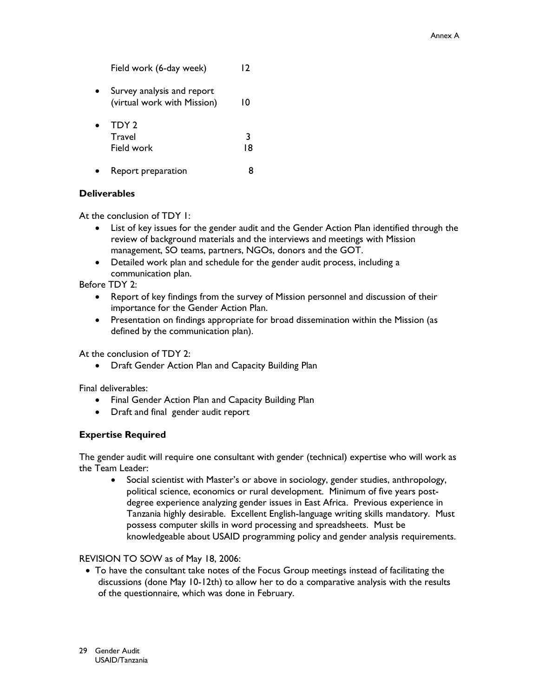$12$ Field work (6-day week) • Survey analysis and report (virtual work with Mission)  $10$ TDY 2  $\bullet$ **Travel**  $\overline{3}$ Field work 18 Report preparation 8

### **Deliverables**

 $\bullet$ 

At the conclusion of TDY 1:

- List of key issues for the gender audit and the Gender Action Plan identified through the review of background materials and the interviews and meetings with Mission management, SO teams, partners, NGOs, donors and the GOT.
- Detailed work plan and schedule for the gender audit process, including a communication plan.

Before TDY 2:

- Report of key findings from the survey of Mission personnel and discussion of their importance for the Gender Action Plan.
- Presentation on findings appropriate for broad dissemination within the Mission (as defined by the communication plan).

At the conclusion of TDY 2:

• Draft Gender Action Plan and Capacity Building Plan

Final deliverables:

- Final Gender Action Plan and Capacity Building Plan
- Draft and final gender audit report

### **Expertise Required**

The gender audit will require one consultant with gender (technical) expertise who will work as the Team Leader:

Social scientist with Master's or above in sociology, gender studies, anthropology,  $\bullet$ political science, economics or rural development. Minimum of five years postdegree experience analyzing gender issues in East Africa. Previous experience in Tanzania highly desirable. Excellent English-language writing skills mandatory. Must possess computer skills in word processing and spreadsheets. Must be knowledgeable about USAID programming policy and gender analysis requirements.

### REVISION TO SOW as of May 18, 2006:

• To have the consultant take notes of the Focus Group meetings instead of facilitating the discussions (done May 10-12th) to allow her to do a comparative analysis with the results of the questionnaire, which was done in February.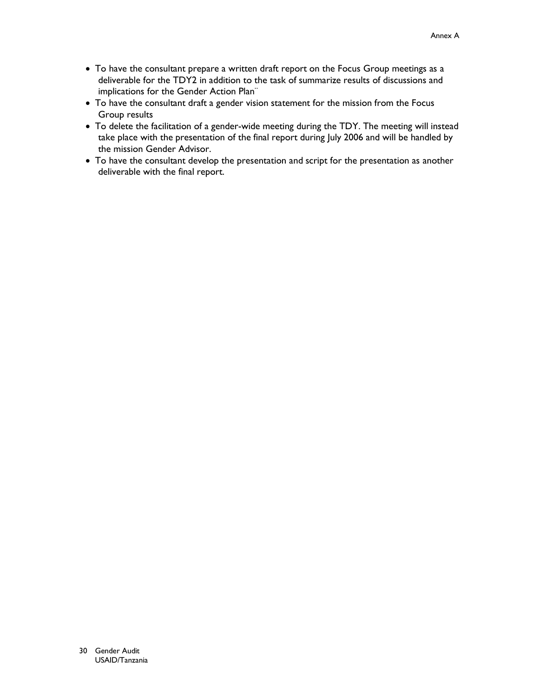- To have the consultant prepare a written draft report on the Focus Group meetings as a deliverable for the TDY2 in addition to the task of summarize results of discussions and implications for the Gender Action Plan"
- To have the consultant draft a gender vision statement for the mission from the Focus Group results
- To delete the facilitation of a gender-wide meeting during the TDY. The meeting will instead take place with the presentation of the final report during July 2006 and will be handled by the mission Gender Advisor.
- To have the consultant develop the presentation and script for the presentation as another deliverable with the final report.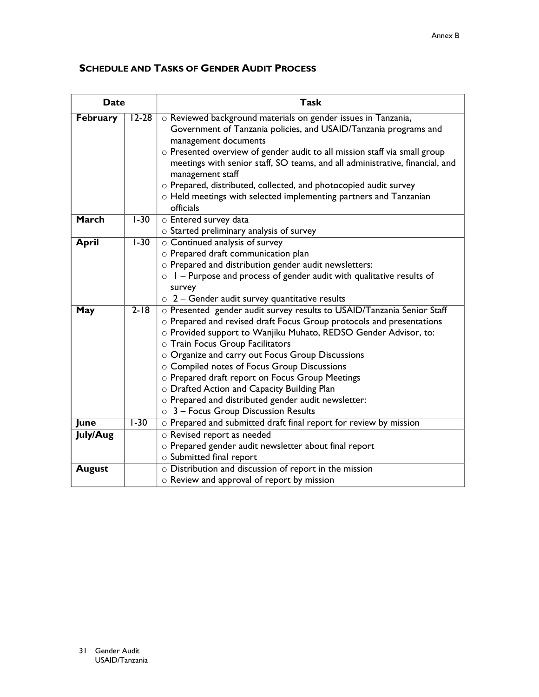# **SCHEDULE AND TASKS OF GENDER AUDIT PROCESS**

| <b>Date</b>                  |          | <b>Task</b>                                                                                                                                                                                                                                                                                                                                                                                                                                                                                                                                                     |  |  |  |  |
|------------------------------|----------|-----------------------------------------------------------------------------------------------------------------------------------------------------------------------------------------------------------------------------------------------------------------------------------------------------------------------------------------------------------------------------------------------------------------------------------------------------------------------------------------------------------------------------------------------------------------|--|--|--|--|
| <b>February</b><br>$12 - 28$ |          | o Reviewed background materials on gender issues in Tanzania,<br>Government of Tanzania policies, and USAID/Tanzania programs and<br>management documents<br>o Presented overview of gender audit to all mission staff via small group<br>meetings with senior staff, SO teams, and all administrative, financial, and<br>management staff<br>o Prepared, distributed, collected, and photocopied audit survey<br>$\circ$ Held meetings with selected implementing partners and Tanzanian<br>officials                                                          |  |  |  |  |
| <b>March</b>                 | $1-30$   | o Entered survey data<br>$\circ$ Started preliminary analysis of survey                                                                                                                                                                                                                                                                                                                                                                                                                                                                                         |  |  |  |  |
| <b>April</b>                 | $1 - 30$ | $\circ$ Continued analysis of survey<br>o Prepared draft communication plan<br>o Prepared and distribution gender audit newsletters:<br>$\circ$ 1 – Purpose and process of gender audit with qualitative results of<br>survey<br>$\circ$ 2 – Gender audit survey quantitative results                                                                                                                                                                                                                                                                           |  |  |  |  |
| May                          | $2 - 18$ | o Presented gender audit survey results to USAID/Tanzania Senior Staff<br>o Prepared and revised draft Focus Group protocols and presentations<br>o Provided support to Wanjiku Muhato, REDSO Gender Advisor, to:<br>o Train Focus Group Facilitators<br>o Organize and carry out Focus Group Discussions<br>o Compiled notes of Focus Group Discussions<br>o Prepared draft report on Focus Group Meetings<br>o Drafted Action and Capacity Building Plan<br>o Prepared and distributed gender audit newsletter:<br>$\circ$ 3 – Focus Group Discussion Results |  |  |  |  |
| June                         | $1 - 30$ | o Prepared and submitted draft final report for review by mission                                                                                                                                                                                                                                                                                                                                                                                                                                                                                               |  |  |  |  |
| <b>July/Aug</b>              |          | o Revised report as needed<br>o Prepared gender audit newsletter about final report<br>o Submitted final report                                                                                                                                                                                                                                                                                                                                                                                                                                                 |  |  |  |  |
| <b>August</b>                |          | o Distribution and discussion of report in the mission<br>o Review and approval of report by mission                                                                                                                                                                                                                                                                                                                                                                                                                                                            |  |  |  |  |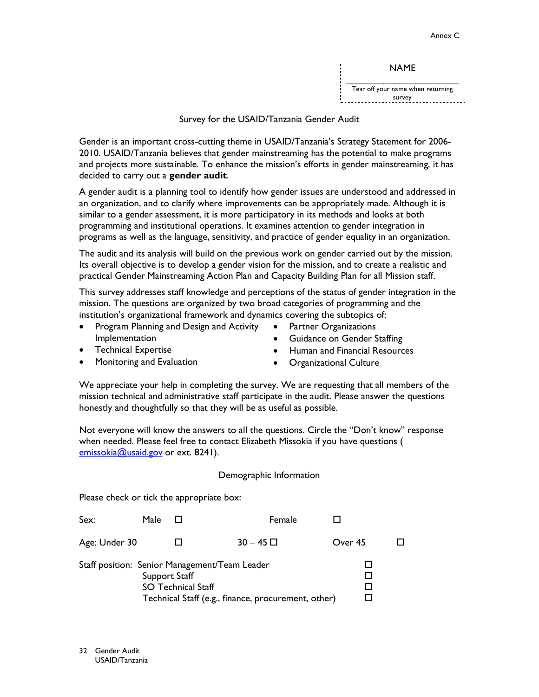**NAME** 

Tear off your name when returning 

#### Survey for the USAID/Tanzania Gender Audit

Gender is an important cross-cutting theme in USAID/Tanzania's Strategy Statement for 2006-2010. USAID/Tanzania believes that gender mainstreaming has the potential to make programs and projects more sustainable. To enhance the mission's efforts in gender mainstreaming, it has decided to carry out a gender audit.

A gender audit is a planning tool to identify how gender issues are understood and addressed in an organization, and to clarify where improvements can be appropriately made. Although it is similar to a gender assessment, it is more participatory in its methods and looks at both programming and institutional operations. It examines attention to gender integration in programs as well as the language, sensitivity, and practice of gender equality in an organization.

The audit and its analysis will build on the previous work on gender carried out by the mission. Its overall objective is to develop a gender vision for the mission, and to create a realistic and practical Gender Mainstreaming Action Plan and Capacity Building Plan for all Mission staff.

This survey addresses staff knowledge and perceptions of the status of gender integration in the mission. The questions are organized by two broad categories of programming and the institution's organizational framework and dynamics covering the subtopics of:

- Program Planning and Design and Activity  $\bullet$ Implementation
- Partner Organizations
- Guidance on Gender Staffing

- **Technical Expertise**  $\bullet$
- Monitoring and Evaluation
- Human and Financial Resources
- Organizational Culture

We appreciate your help in completing the survey. We are requesting that all members of the mission technical and administrative staff participate in the audit. Please answer the questions honestly and thoughtfully so that they will be as useful as possible.

Not everyone will know the answers to all the questions. Circle the "Don't know" response when needed. Please feel free to contact Elizabeth Missokia if you have questions ( emissokia@usaid.gov or ext. 8241).

#### Demographic Information

Please check or tick the appropriate box:

| Sex:          | Male                                       | Female                                                                                               |         |  |
|---------------|--------------------------------------------|------------------------------------------------------------------------------------------------------|---------|--|
| Age: Under 30 |                                            | $30 - 45$ $\Box$                                                                                     | Over 45 |  |
|               | Support Staff<br><b>SO Technical Staff</b> | Staff position: Senior Management/Team Leader<br>Technical Staff (e.g., finance, procurement, other) |         |  |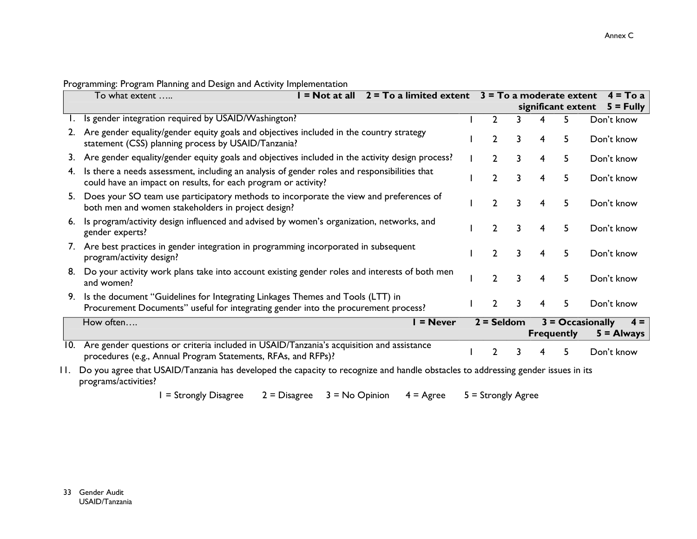|     | To what extent                                                                                                                                                       | $=$ Not at all | $2 = To$ a limited extent $3 = To$ a moderate extent |                |   |   |                    | $4 = Toa$                                   |
|-----|----------------------------------------------------------------------------------------------------------------------------------------------------------------------|----------------|------------------------------------------------------|----------------|---|---|--------------------|---------------------------------------------|
|     |                                                                                                                                                                      |                |                                                      |                |   |   | significant extent | $5 =$ Fully                                 |
|     | Is gender integration required by USAID/Washington?                                                                                                                  |                |                                                      | $\mathbf{2}$   |   | 4 | 5                  | Don't know                                  |
|     | 2. Are gender equality/gender equity goals and objectives included in the country strategy<br>statement (CSS) planning process by USAID/Tanzania?                    |                |                                                      | $\mathbf{2}$   | 3 | 4 | 5                  | Don't know                                  |
|     | 3. Are gender equality/gender equity goals and objectives included in the activity design process?                                                                   |                |                                                      | 2              | 3 | 4 | 5                  | Don't know                                  |
| 4.  | Is there a needs assessment, including an analysis of gender roles and responsibilities that<br>could have an impact on results, for each program or activity?       |                |                                                      | 2              | 3 | 4 | 5                  | Don't know                                  |
|     | 5. Does your SO team use participatory methods to incorporate the view and preferences of<br>both men and women stakeholders in project design?                      |                |                                                      | $\overline{2}$ | 3 | 4 | 5                  | Don't know                                  |
|     | 6. Is program/activity design influenced and advised by women's organization, networks, and<br>gender experts?                                                       |                |                                                      | $\mathcal{P}$  | 3 | 4 | 5                  | Don't know                                  |
|     | 7. Are best practices in gender integration in programming incorporated in subsequent<br>program/activity design?                                                    |                |                                                      | $\mathcal{P}$  | २ | 4 | 5                  | Don't know                                  |
| 8.  | Do your activity work plans take into account existing gender roles and interests of both men<br>and women?                                                          |                |                                                      | 2              | 3 | 4 | 5                  | Don't know                                  |
| 9.  | Is the document "Guidelines for Integrating Linkages Themes and Tools (LTT) in<br>Procurement Documents" useful for integrating gender into the procurement process? |                |                                                      | $\mathbf{2}$   | 3 | 4 | 5                  | Don't know                                  |
|     | How often                                                                                                                                                            |                | $=$ Never                                            | $2 =$ Seldom   |   |   | <b>Frequently</b>  | $3 = Occasionally$<br>$4 =$<br>$5 =$ Always |
| 10. | Are gender questions or criteria included in USAID/Tanzania's acquisition and assistance<br>procedures (e.g., Annual Program Statements, RFAs, and RFPs)?            |                |                                                      | 2              | 3 |   | 5                  | Don't know                                  |

Programming: Program Planning and Design and Activity Implementation

11. Do you agree that USAID/Tanzania has developed the capacity to recognize and handle obstacles to addressing gender issues in its programs/activities?

> $I =$  Strongly Disagree  $2 =$  Disagree  $3 =$  No Opinion  $4 = \text{Agree}$  $5 =$  Strongly Agree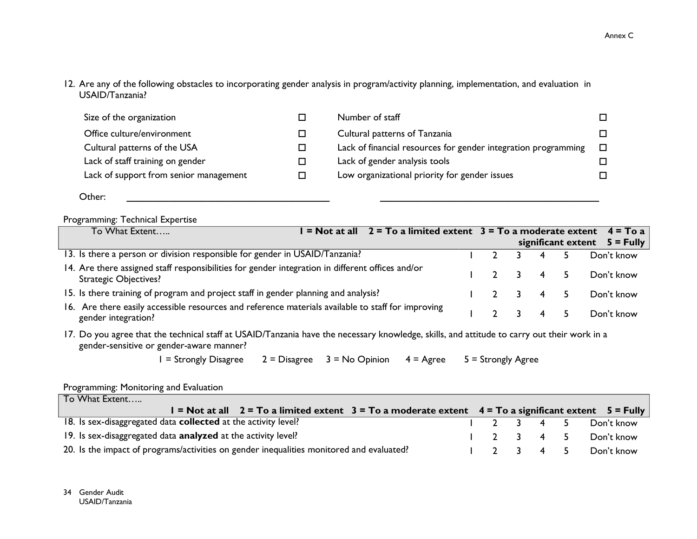12. Are any of the following obstacles to incorporating gender analysis in program/activity planning, implementation, and evaluation in USAID/Tanzania?

| Size of the organization               | Number of staff                                                |        |
|----------------------------------------|----------------------------------------------------------------|--------|
| Office culture/environment             | Cultural patterns of Tanzania                                  |        |
| Cultural patterns of the USA           | Lack of financial resources for gender integration programming | $\Box$ |
| Lack of staff training on gender       | Lack of gender analysis tools                                  |        |
| Lack of support from senior management | Low organizational priority for gender issues                  |        |
|                                        |                                                                |        |

Other:

## Programming: Technical Expertise

| To What Extent                                                                                                            | = Not at all $2 = To$ a limited extent $3 = To$ a moderate extent $4 = To$ a |  |       |                                |
|---------------------------------------------------------------------------------------------------------------------------|------------------------------------------------------------------------------|--|-------|--------------------------------|
|                                                                                                                           |                                                                              |  |       | significant extent $5 =$ Fully |
| 13. Is there a person or division responsible for gender in USAID/Tanzania?                                               |                                                                              |  | 4     | Don't know                     |
| 14. Are there assigned staff responsibilities for gender integration in different offices and/or<br>Strategic Objectives? |                                                                              |  | 3 4 5 | Don't know                     |
| 15. Is there training of program and project staff in gender planning and analysis?                                       |                                                                              |  | 3 4 5 | Don't know                     |
| 16. Are there easily accessible resources and reference materials available to staff for improving<br>gender integration? |                                                                              |  | 3 4 5 | Don't know                     |

17. Do you agree that the technical staff at USAID/Tanzania have the necessary knowledge, skills, and attitude to carry out their work in a gender-sensitive or gender-aware manner?

> $I =$  Strongly Disagree  $2 = Disagree \t3 = No Opinion$  $4 = \text{Agree}$  $5 =$  Strongly Agree

#### Programming: Monitoring and Evaluation

| To What Extent                                                                                              |             |  |                      |
|-------------------------------------------------------------------------------------------------------------|-------------|--|----------------------|
| $\vert$ = Not at all 2 = To a limited extent 3 = To a moderate extent 4 = To a significant extent 5 = Fully |             |  |                      |
| 18. Is sex-disaggregated data <b>collected</b> at the activity level?                                       | $1$ 2 3 4 5 |  | Don't know           |
| 19. Is sex-disaggregated data analyzed at the activity level?                                               |             |  | 1 2 3 4 5 Don't know |
| 20. Is the impact of programs/activities on gender inequalities monitored and evaluated?                    | $1$ 2 3 4 5 |  | Don't know           |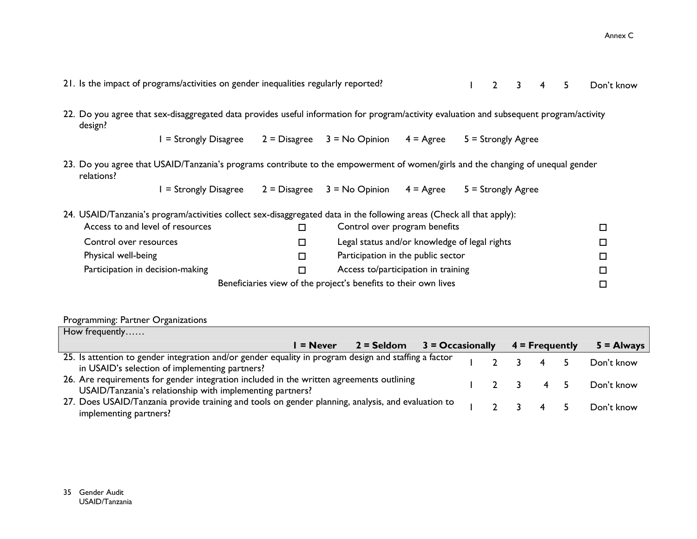21. Is the impact of programs/activities on gender inequalities regularly reported?  $\mathbf{L}$  $\overline{2}$  $\overline{3}$  $\overline{4}$  $\overline{5}$ Don't know 22. Do you agree that sex-disaggregated data provides useful information for program/activity evaluation and subsequent program/activity design?  $I =$  Strongly Disagree  $2 = Disagree \t3 = No Opinion$  $4 = \text{Agree}$  $5 =$  Strongly Agree 23. Do you agree that USAID/Tanzania's programs contribute to the empowerment of women/girls and the changing of unequal gender relations?  $I =$  Strongly Disagree  $2 = Disagree \t3 = No Opinion$  $4 = \text{Agree}$  $5 =$  Strongly Agree 24. USAID/Tanzania's program/activities collect sex-disaggregated data in the following areas (Check all that apply): Access to and level of resources Control over program benefits  $\Box$  $\Box$ Control over resources Legal status and/or knowledge of legal rights  $\Box$  $\Box$ Physical well-being Participation in the public sector  $\Box$  $\Box$ Participation in decision-making Access to/participation in training  $\Box$  $\Box$ Beneficiaries view of the project's benefits to their own lives  $\Box$ 

#### Programming: Partner Organizations

| How frequently $\dots$                                                                                                                                  |  |       |                  |              |
|---------------------------------------------------------------------------------------------------------------------------------------------------------|--|-------|------------------|--------------|
| $2 =$ Seldom $3 =$ Occasionally<br><b>E</b> Never                                                                                                       |  |       | $4$ = Frequently | $5 =$ Always |
| 25. Is attention to gender integration and/or gender equality in program design and staffing a factor<br>in USAID's selection of implementing partners? |  |       |                  | Don't know   |
| 26. Are requirements for gender integration included in the written agreements outlining<br>USAID/Tanzania's relationship with implementing partners?   |  | 12345 |                  | Don't know   |
| 27. Does USAID/Tanzania provide training and tools on gender planning, analysis, and evaluation to<br>implementing partners?                            |  |       |                  | Don't know   |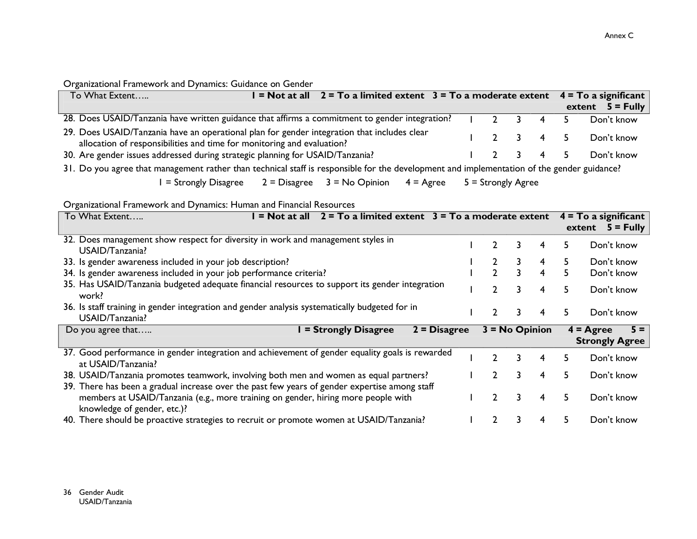# Organizational Framework and Dynamics: Guidance on Gender

| To What Extent                                                                                                                                                        | $=$ Not at all 2 = To a limited extent 3 = To a moderate extent 4 = To a significant |  |  |       |                                     |                    |
|-----------------------------------------------------------------------------------------------------------------------------------------------------------------------|--------------------------------------------------------------------------------------|--|--|-------|-------------------------------------|--------------------|
|                                                                                                                                                                       |                                                                                      |  |  |       |                                     | extent $5 =$ Fully |
| 28. Does USAID/Tanzania have written guidance that affirms a commitment to gender integration?                                                                        |                                                                                      |  |  |       | $1$ 2 3 4 5                         | Don't know         |
| 29. Does USAID/Tanzania have an operational plan for gender integration that includes clear<br>allocation of responsibilities and time for monitoring and evaluation? |                                                                                      |  |  |       | $1 \quad 2 \quad 3 \quad 4 \quad 5$ | Don't know         |
| 30. Are gender issues addressed during strategic planning for USAID/Tanzania?                                                                                         |                                                                                      |  |  | 12345 |                                     | Don't know         |

31. Do you agree that management rather than technical staff is responsible for the development and implementation of the gender guidance?

 $I =$  Strongly Disagree  $2 = Disagree \t 3 = No Opinion$  $4 = \text{Agree}$  $5 =$  Strongly Agree

Organizational Framework and Dynamics: Human and Financial Resources

| To What Extent                                                                                                        | $=$ Not at all | $2 = To$ a limited extent $3 = To$ a moderate extent |                |                  |    |   |    | $4 = To a significant$<br>$5 =$ Fully<br>extent |
|-----------------------------------------------------------------------------------------------------------------------|----------------|------------------------------------------------------|----------------|------------------|----|---|----|-------------------------------------------------|
| 32. Does management show respect for diversity in work and management styles in<br>USAID/Tanzania?                    |                |                                                      |                |                  | 3  | 4 | 5. | Don't know                                      |
| 33. Is gender awareness included in your job description?                                                             |                |                                                      |                |                  |    | 4 | 5. | Don't know                                      |
| 34. Is gender awareness included in your job performance criteria?                                                    |                |                                                      |                | C.               | 3. | 4 | 5. | Don't know                                      |
| 35. Has USAID/Tanzania budgeted adequate financial resources to support its gender integration<br>work?               |                |                                                      |                |                  | 3  | 4 | 5. | Don't know                                      |
| 36. Is staff training in gender integration and gender analysis systematically budgeted for in<br>USAID/Tanzania?     |                |                                                      |                |                  | 3. | 4 | 5. | Don't know                                      |
| Do you agree that                                                                                                     |                | <b>I</b> = Strongly Disagree                         | $2 = Disagree$ | $3 = No$ Opinion |    |   |    | $5 =$<br>$4 = \text{Agree}$                     |
|                                                                                                                       |                |                                                      |                |                  |    |   |    | <b>Strongly Agree</b>                           |
| 37. Good performance in gender integration and achievement of gender equality goals is rewarded<br>at USAID/Tanzania? |                |                                                      |                | າ                | 3. | 4 | 5. | Don't know                                      |
| 38. USAID/Tanzania promotes teamwork, involving both men and women as equal partners?                                 |                |                                                      |                |                  | 3. | 4 | 5. | Don't know                                      |
| 39. There has been a gradual increase over the past few years of gender expertise among staff                         |                |                                                      |                |                  |    |   |    |                                                 |
| members at USAID/Tanzania (e.g., more training on gender, hiring more people with<br>knowledge of gender, etc.)?      |                |                                                      |                |                  | 3  | 4 | 5. | Don't know                                      |
| 40. There should be proactive strategies to recruit or promote women at USAID/Tanzania?                               |                |                                                      |                |                  |    |   | 5. | Don't know                                      |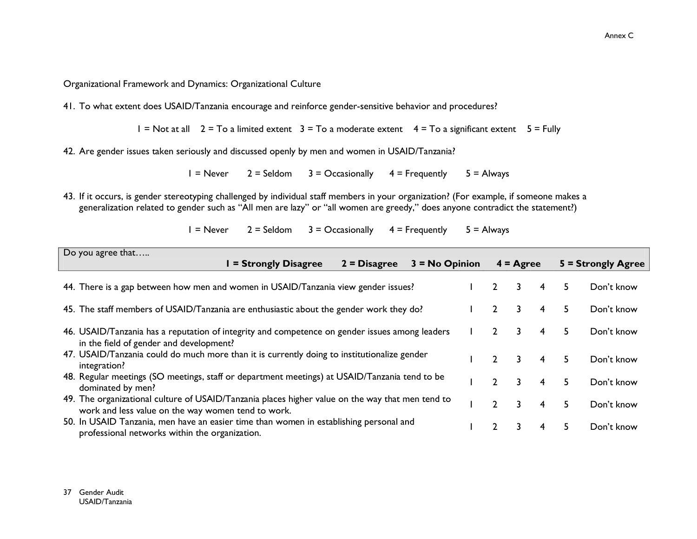### Organizational Framework and Dynamics: Organizational Culture

41. To what extent does USAID/Tanzania encourage and reinforce gender-sensitive behavior and procedures?

 $I = Not at all$  2 = To a limited extent 3 = To a moderate extent 4 = To a significant extent 5 = Fully

42. Are gender issues taken seriously and discussed openly by men and women in USAID/Tanzania?

 $3 = Occasionally$  $4$  = Frequently  $5 =$  Always  $I =$ Never  $2 =$  Seldom

43. If it occurs, is gender stereotyping challenged by individual staff members in your organization? (For example, if someone makes a generalization related to gender such as "All men are lazy" or "all women are greedy," does anyone contradict the statement?)

> $I = Never$  $2 =$  Seldom  $3 =$  Occasionally  $4$  = Frequently  $5 =$  Always

| Do you agree that                                                                                                                                      |                       |                |                  |               |                    |   |    |                    |
|--------------------------------------------------------------------------------------------------------------------------------------------------------|-----------------------|----------------|------------------|---------------|--------------------|---|----|--------------------|
|                                                                                                                                                        | I = Strongly Disagree | $2 = Disagree$ | $3 = No$ Opinion |               | $4 = \text{Agree}$ |   |    | 5 = Strongly Agree |
| 44. There is a gap between how men and women in USAID/Tanzania view gender issues?                                                                     |                       |                |                  |               | 3                  | 4 | 5  | Don't know         |
| 45. The staff members of USAID/Tanzania are enthusiastic about the gender work they do?                                                                |                       |                |                  |               | 3.                 | 4 | 5. | Don't know         |
| 46. USAID/Tanzania has a reputation of integrity and competence on gender issues among leaders<br>in the field of gender and development?              |                       |                |                  |               | 3.                 | 4 | 5. | Don't know         |
| 47. USAID/Tanzania could do much more than it is currently doing to institutionalize gender<br>integration?                                            |                       |                |                  | $\mathcal{P}$ | 3.                 | 4 | 5. | Don't know         |
| 48. Regular meetings (SO meetings, staff or department meetings) at USAID/Tanzania tend to be<br>dominated by men?                                     |                       |                |                  |               | 3.                 | 4 | 5  | Don't know         |
| 49. The organizational culture of USAID/Tanzania places higher value on the way that men tend to<br>work and less value on the way women tend to work. |                       |                |                  | $\mathcal{L}$ | 3.                 | 4 | 5. | Don't know         |
| 50. In USAID Tanzania, men have an easier time than women in establishing personal and<br>professional networks within the organization.               |                       |                |                  | $\mathcal{P}$ | 3.                 | 4 | 5. | Don't know         |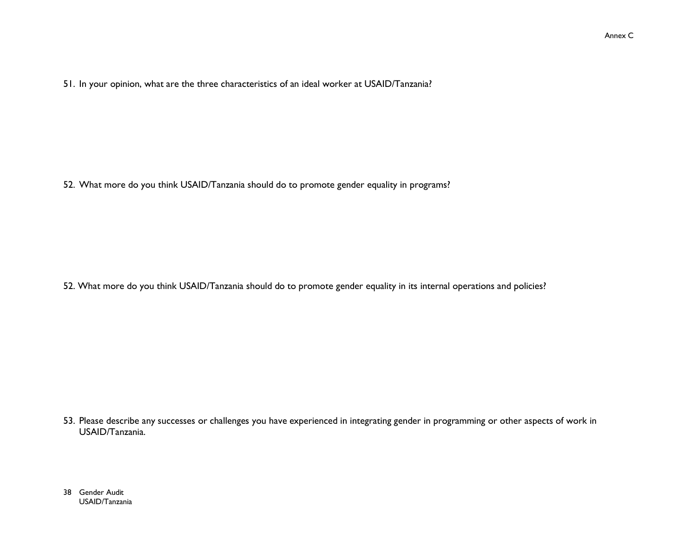51. In your opinion, what are the three characteristics of an ideal worker at USAID/Tanzania?

52. What more do you think USAID/Tanzania should do to promote gender equality in programs?

52. What more do you think USAID/Tanzania should do to promote gender equality in its internal operations and policies?

53. Please describe any successes or challenges you have experienced in integrating gender in programming or other aspects of work in USAID/Tanzania.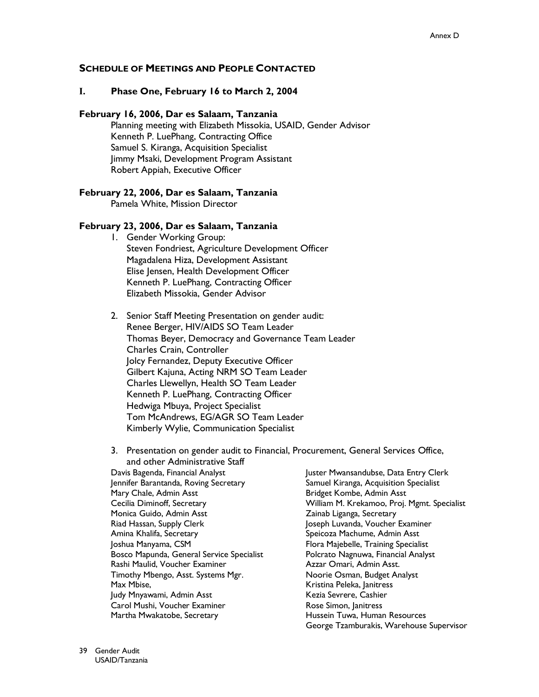### **SCHEDULE OF MEETINGS AND PEOPLE CONTACTED**

#### L. Phase One, February 16 to March 2, 2004

#### February 16, 2006, Dar es Salaam, Tanzania

Planning meeting with Elizabeth Missokia, USAID, Gender Advisor Kenneth P. LuePhang, Contracting Office Samuel S. Kiranga, Acquisition Specialist Jimmy Msaki, Development Program Assistant Robert Appiah, Executive Officer

#### February 22, 2006, Dar es Salaam, Tanzania

Pamela White, Mission Director

#### February 23, 2006, Dar es Salaam, Tanzania

- I. Gender Working Group: Steven Fondriest, Agriculture Development Officer Magadalena Hiza, Development Assistant Elise Jensen, Health Development Officer Kenneth P. LuePhang, Contracting Officer Elizabeth Missokia, Gender Advisor
- 2. Senior Staff Meeting Presentation on gender audit: Renee Berger, HIV/AIDS SO Team Leader Thomas Beyer, Democracy and Governance Team Leader Charles Crain, Controller Jolcy Fernandez, Deputy Executive Officer Gilbert Kajuna, Acting NRM SO Team Leader Charles Llewellyn, Health SO Team Leader Kenneth P. LuePhang, Contracting Officer Hedwiga Mbuya, Project Specialist Tom McAndrews, EG/AGR SO Team Leader Kimberly Wylie, Communication Specialist
- 3. Presentation on gender audit to Financial, Procurement, General Services Office, and other Administrative Staff Davis Bagenda, Financial Analyst Juster Mwansandubse, Data Entry Clerk Samuel Kiranga, Acquisition Specialist Jennifer Barantanda, Roving Secretary Bridget Kombe, Admin Asst Mary Chale, Admin Asst Cecilia Diminoff, Secretary William M. Krekamoo, Proj. Mgmt. Specialist Monica Guido, Admin Asst Zainab Liganga, Secretary Riad Hassan, Supply Clerk Joseph Luvanda, Voucher Examiner Amina Khalifa, Secretary Speicoza Machume, Admin Asst Joshua Manyama, CSM Flora Majebelle, Training Specialist Bosco Mapunda, General Service Specialist Polcrato Nagnuwa, Financial Analyst Rashi Maulid, Voucher Examiner Azzar Omari, Admin Asst. Timothy Mbengo, Asst. Systems Mgr. Noorie Osman, Budget Analyst Max Mbise, Kristina Peleka, Janitress Judy Mnyawami, Admin Asst Kezia Sevrere, Cashier Carol Mushi, Voucher Examiner Rose Simon, Janitress Hussein Tuwa, Human Resources

George Tzamburakis, Warehouse Supervisor

- Martha Mwakatobe, Secretary
- 39 Gender Audit USAID/Tanzania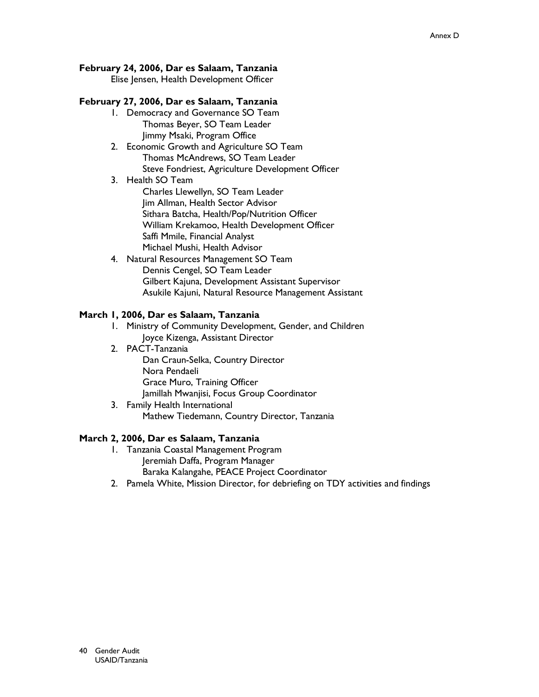# February 24, 2006, Dar es Salaam, Tanzania

Elise Jensen, Health Development Officer

# February 27, 2006, Dar es Salaam, Tanzania

- 1. Democracy and Governance SO Team Thomas Beyer, SO Team Leader Jimmy Msaki, Program Office
- 2. Economic Growth and Agriculture SO Team Thomas McAndrews, SO Team Leader Steve Fondriest, Agriculture Development Officer
- 3. Health SO Team Charles Llewellyn, SO Team Leader Jim Allman, Health Sector Advisor Sithara Batcha, Health/Pop/Nutrition Officer William Krekamoo, Health Development Officer Saffi Mmile, Financial Analyst Michael Mushi, Health Advisor
- 4. Natural Resources Management SO Team Dennis Cengel, SO Team Leader Gilbert Kajuna, Development Assistant Supervisor Asukile Kajuni, Natural Resource Management Assistant

# March I, 2006, Dar es Salaam, Tanzania

- 1. Ministry of Community Development, Gender, and Children Joyce Kizenga, Assistant Director
- 2. PACT-Tanzania

Dan Craun-Selka, Country Director Nora Pendaeli Grace Muro, Training Officer Jamillah Mwanjisi, Focus Group Coordinator

3. Family Health International Mathew Tiedemann, Country Director, Tanzania

# March 2, 2006, Dar es Salaam, Tanzania

- 1. Tanzania Coastal Management Program Jeremiah Daffa, Program Manager Baraka Kalangahe, PEACE Project Coordinator
- 2. Pamela White, Mission Director, for debriefing on TDY activities and findings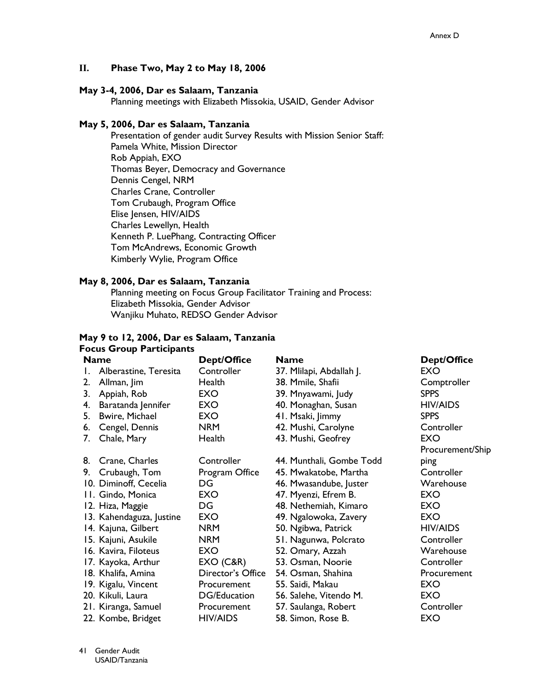#### II. Phase Two, May 2 to May 18, 2006

#### May 3-4, 2006, Dar es Salaam, Tanzania

Planning meetings with Elizabeth Missokia, USAID, Gender Advisor

### May 5, 2006, Dar es Salaam, Tanzania

Presentation of gender audit Survey Results with Mission Senior Staff: Pamela White, Mission Director Rob Appiah, EXO Thomas Beyer, Democracy and Governance Dennis Cengel, NRM Charles Crane, Controller Tom Crubaugh, Program Office Elise Jensen, HIV/AIDS Charles Lewellyn, Health Kenneth P. LuePhang, Contracting Officer Tom McAndrews, Economic Growth Kimberly Wylie, Program Office

### May 8, 2006, Dar es Salaam, Tanzania

Planning meeting on Focus Group Facilitator Training and Process: Elizabeth Missokia, Gender Advisor Wanjiku Muhato, REDSO Gender Advisor

#### May 9 to 12, 2006, Dar es Salaam, Tanzania **Focus Group Participants**

|    | <b>Name</b>              | <b>Dept/Office</b> | <b>Name</b>              | Dept/Office      |
|----|--------------------------|--------------------|--------------------------|------------------|
| L. | Alberastine, Teresita    | Controller         | 37. Mlilapi, Abdallah J. | EXO              |
| 2. | Allman, Jim              | Health             | 38. Mmile, Shafii        | Comptroller      |
| 3. | Appiah, Rob              | EXO.               | 39. Mnyawami, Judy       | <b>SPPS</b>      |
| 4. | Baratanda Jennifer       | <b>EXO</b>         | 40. Monaghan, Susan      | HIV/AIDS         |
| 5. | <b>Bwire, Michael</b>    | <b>EXO</b>         | 41. Msaki, Jimmy         | <b>SPPS</b>      |
| 6. | Cengel, Dennis           | <b>NRM</b>         | 42. Mushi, Carolyne      | Controller       |
| 7. | Chale, Mary              | Health             | 43. Mushi, Geofrey       | <b>EXO</b>       |
|    |                          |                    |                          | Procurement/Ship |
| 8. | Crane, Charles           | Controller         | 44. Munthali, Gombe Todd | ping             |
|    | 9. Crubaugh, Tom         | Program Office     | 45. Mwakatobe, Martha    | Controller       |
|    | 10. Diminoff, Cecelia    | DG                 | 46. Mwasandube, Juster   | Warehouse        |
|    | II. Gindo, Monica        | EXO                | 47. Myenzi, Efrem B.     | EXO              |
|    | 12. Hiza, Maggie         | DG                 | 48. Nethemiah, Kimaro    | EXO              |
|    | 13. Kahendaguza, Justine | EXO                | 49. Ngalowoka, Zavery    | <b>EXO</b>       |
|    | 14. Kajuna, Gilbert      | <b>NRM</b>         | 50. Ngibwa, Patrick      | <b>HIV/AIDS</b>  |
|    | 15. Kajuni, Asukile      | <b>NRM</b>         | 51. Nagunwa, Polcrato    | Controller       |
|    | 16. Kavira, Filoteus     | EXO                | 52. Omary, Azzah         | Warehouse        |
|    | 17. Kayoka, Arthur       | EXO(C&R)           | 53. Osman, Noorie        | Controller       |
|    | 18. Khalifa, Amina       | Director's Office  | 54. Osman, Shahina       | Procurement      |
|    | 19. Kigalu, Vincent      | Procurement        | 55. Saidi, Makau         | EXO              |
|    | 20. Kikuli, Laura        | DG/Education       | 56. Salehe, Vitendo M.   | <b>EXO</b>       |
|    | 21. Kiranga, Samuel      | Procurement        | 57. Saulanga, Robert     | Controller       |
|    | 22. Kombe, Bridget       | <b>HIV/AIDS</b>    | 58. Simon, Rose B.       | EXO              |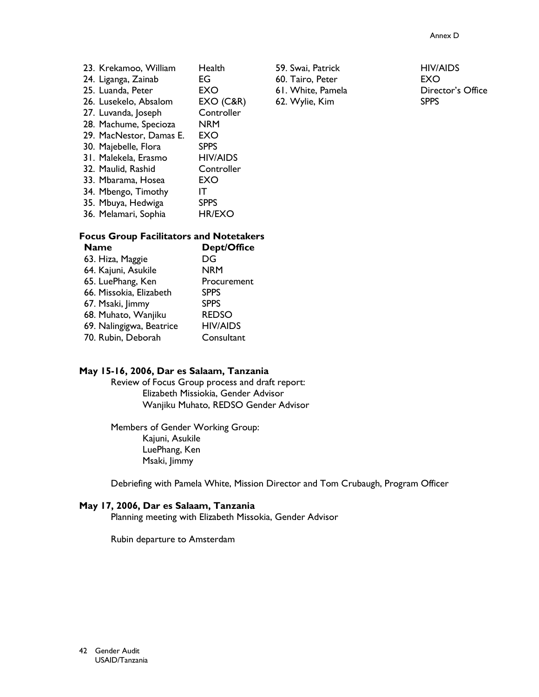| Health                                                                                                                                                                                                                                                                                                                                 |
|----------------------------------------------------------------------------------------------------------------------------------------------------------------------------------------------------------------------------------------------------------------------------------------------------------------------------------------|
| EG                                                                                                                                                                                                                                                                                                                                     |
| EXO                                                                                                                                                                                                                                                                                                                                    |
| EXO(C&R)                                                                                                                                                                                                                                                                                                                               |
| Controller                                                                                                                                                                                                                                                                                                                             |
| NRM                                                                                                                                                                                                                                                                                                                                    |
| EXO                                                                                                                                                                                                                                                                                                                                    |
| <b>SPPS</b>                                                                                                                                                                                                                                                                                                                            |
| <b>HIV/AIDS</b>                                                                                                                                                                                                                                                                                                                        |
| Controller                                                                                                                                                                                                                                                                                                                             |
| EXO                                                                                                                                                                                                                                                                                                                                    |
| IΤ                                                                                                                                                                                                                                                                                                                                     |
| <b>SPPS</b>                                                                                                                                                                                                                                                                                                                            |
| <b>HR/EXO</b>                                                                                                                                                                                                                                                                                                                          |
| 23. Krekamoo, William<br>24. Liganga, Zainab<br>25. Luanda, Peter<br>26. Lusekelo, Absalom<br>27. Luvanda, Joseph<br>28. Machume, Specioza<br>29. MacNestor, Damas E.<br>30. Majebelle, Flora<br>31. Malekela, Erasmo<br>32. Maulid, Rashid<br>33. Mbarama, Hosea<br>34. Mbengo, Timothy<br>35. Mbuya, Hedwiga<br>36. Melamari, Sophia |

#### **Focus Group Facilitators and Notetakers**  $D_{\text{on+}}/O_{\text{free}}$  $N$

| iname                    | DepuOllice      |
|--------------------------|-----------------|
| 63. Hiza, Maggie         | DG              |
| 64. Kajuni, Asukile      | <b>NRM</b>      |
| 65. LuePhang, Ken        | Procurement     |
| 66. Missokia, Elizabeth  | <b>SPPS</b>     |
| 67. Msaki, Jimmy         | <b>SPPS</b>     |
| 68. Muhato, Wanjiku      | <b>REDSO</b>    |
| 69. Nalingigwa, Beatrice | <b>HIV/AIDS</b> |
| 70. Rubin, Deborah       | Consultant      |
|                          |                 |

#### May 15-16, 2006, Dar es Salaam, Tanzania

Review of Focus Group process and draft report: Elizabeth Missiokia, Gender Advisor Wanjiku Muhato, REDSO Gender Advisor

Members of Gender Working Group: Kajuni, Asukile LuePhang, Ken Msaki, Jimmy

Debriefing with Pamela White, Mission Director and Tom Crubaugh, Program Officer

### May 17, 2006, Dar es Salaam, Tanzania

Planning meeting with Elizabeth Missokia, Gender Advisor

Rubin departure to Amsterdam

59. Swai, Patrick 60. Tairo, Peter 61. White, Pamela 62. Wylie, Kim

**HIV/AIDS EXO** Director's Office **SPPS**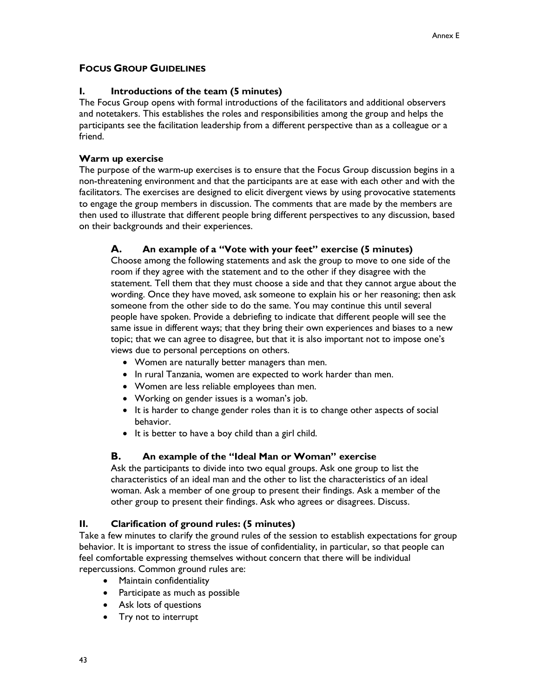# **FOCUS GROUP GUIDELINES**

#### L Introductions of the team (5 minutes)

The Focus Group opens with formal introductions of the facilitators and additional observers and notetakers. This establishes the roles and responsibilities among the group and helps the participants see the facilitation leadership from a different perspective than as a colleague or a friend.

# Warm up exercise

The purpose of the warm-up exercises is to ensure that the Focus Group discussion begins in a non-threatening environment and that the participants are at ease with each other and with the facilitators. The exercises are designed to elicit divergent views by using provocative statements to engage the group members in discussion. The comments that are made by the members are then used to illustrate that different people bring different perspectives to any discussion, based on their backgrounds and their experiences.

#### А. An example of a "Vote with your feet" exercise (5 minutes)

Choose among the following statements and ask the group to move to one side of the room if they agree with the statement and to the other if they disagree with the statement. Tell them that they must choose a side and that they cannot argue about the wording. Once they have moved, ask someone to explain his or her reasoning; then ask someone from the other side to do the same. You may continue this until several people have spoken. Provide a debriefing to indicate that different people will see the same issue in different ways; that they bring their own experiences and biases to a new topic; that we can agree to disagree, but that it is also important not to impose one's views due to personal perceptions on others.

- Women are naturally better managers than men.
- In rural Tanzania, women are expected to work harder than men.
- Women are less reliable employees than men.
- Working on gender issues is a woman's job.
- It is harder to change gender roles than it is to change other aspects of social behavior.
- It is better to have a boy child than a girl child.

#### В. An example of the "Ideal Man or Woman" exercise

Ask the participants to divide into two equal groups. Ask one group to list the characteristics of an ideal man and the other to list the characteristics of an ideal woman. Ask a member of one group to present their findings. Ask a member of the other group to present their findings. Ask who agrees or disagrees. Discuss.

#### II. Clarification of ground rules: (5 minutes)

Take a few minutes to clarify the ground rules of the session to establish expectations for group behavior. It is important to stress the issue of confidentiality, in particular, so that people can feel comfortable expressing themselves without concern that there will be individual repercussions. Common ground rules are:

- Maintain confidentiality
- Participate as much as possible
- Ask lots of questions
- Try not to interrupt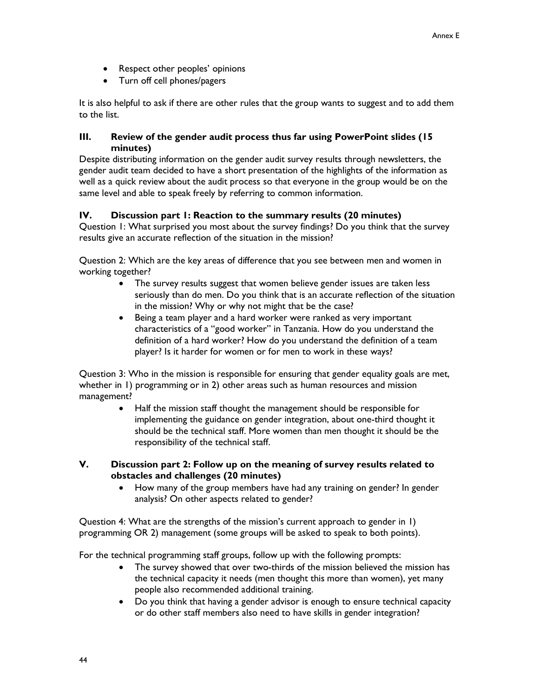- Respect other peoples' opinions
- Turn off cell phones/pagers

It is also helpful to ask if there are other rules that the group wants to suggest and to add them to the list.

#### Ш. Review of the gender audit process thus far using PowerPoint slides (15) minutes)

Despite distributing information on the gender audit survey results through newsletters, the gender audit team decided to have a short presentation of the highlights of the information as well as a quick review about the audit process so that everyone in the group would be on the same level and able to speak freely by referring to common information.

#### IV. Discussion part 1: Reaction to the summary results (20 minutes)

Question 1: What surprised you most about the survey findings? Do you think that the survey results give an accurate reflection of the situation in the mission?

Question 2: Which are the key areas of difference that you see between men and women in working together?

- The survey results suggest that women believe gender issues are taken less  $\bullet$ seriously than do men. Do you think that is an accurate reflection of the situation in the mission? Why or why not might that be the case?
- Being a team player and a hard worker were ranked as very important  $\bullet$ characteristics of a "good worker" in Tanzania. How do you understand the definition of a hard worker? How do you understand the definition of a team player? Is it harder for women or for men to work in these ways?

Question 3: Who in the mission is responsible for ensuring that gender equality goals are met, whether in  $\overline{1}$ ) programming or in 2) other areas such as human resources and mission management?

- Half the mission staff thought the management should be responsible for implementing the guidance on gender integration, about one-third thought it should be the technical staff. More women than men thought it should be the responsibility of the technical staff.
- V. Discussion part 2: Follow up on the meaning of survey results related to obstacles and challenges (20 minutes)
	- How many of the group members have had any training on gender? In gender  $\bullet$ analysis? On other aspects related to gender?

Question 4: What are the strengths of the mission's current approach to gender in 1) programming OR 2) management (some groups will be asked to speak to both points).

For the technical programming staff groups, follow up with the following prompts:

- The survey showed that over two-thirds of the mission believed the mission has  $\bullet$ the technical capacity it needs (men thought this more than women), yet many people also recommended additional training.
- Do you think that having a gender advisor is enough to ensure technical capacity or do other staff members also need to have skills in gender integration?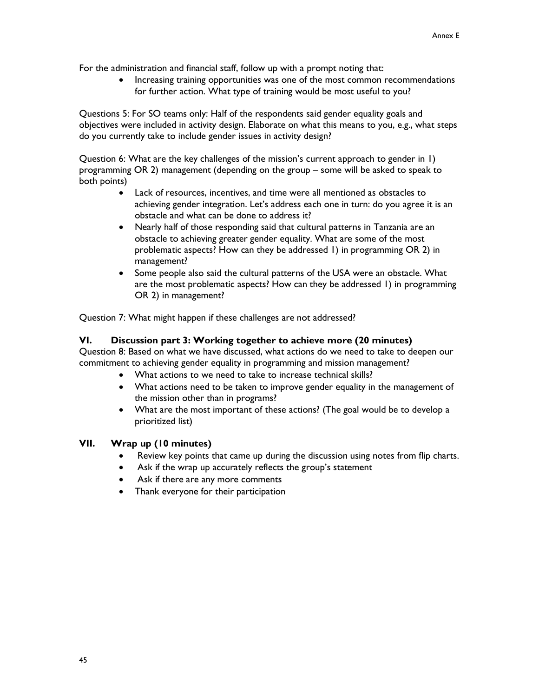For the administration and financial staff, follow up with a prompt noting that:

Increasing training opportunities was one of the most common recommendations for further action. What type of training would be most useful to you?

Questions 5: For SO teams only: Half of the respondents said gender equality goals and objectives were included in activity design. Elaborate on what this means to you, e.g., what steps do you currently take to include gender issues in activity design?

Question 6: What are the key challenges of the mission's current approach to gender in 1) programming OR 2) management (depending on the group - some will be asked to speak to both points)

- Lack of resources, incentives, and time were all mentioned as obstacles to achieving gender integration. Let's address each one in turn: do you agree it is an obstacle and what can be done to address it?
- Nearly half of those responding said that cultural patterns in Tanzania are an  $\bullet$ obstacle to achieving greater gender equality. What are some of the most problematic aspects? How can they be addressed 1) in programming OR 2) in management?
- Some people also said the cultural patterns of the USA were an obstacle. What  $\bullet$ are the most problematic aspects? How can they be addressed 1) in programming OR 2) in management?

Question 7: What might happen if these challenges are not addressed?

#### VI. Discussion part 3: Working together to achieve more (20 minutes)

Question 8: Based on what we have discussed, what actions do we need to take to deepen our commitment to achieving gender equality in programming and mission management?

- What actions to we need to take to increase technical skills?
- What actions need to be taken to improve gender equality in the management of the mission other than in programs?
- What are the most important of these actions? (The goal would be to develop a prioritized list)

#### VII. Wrap up (10 minutes)

- Review key points that came up during the discussion using notes from flip charts.
- Ask if the wrap up accurately reflects the group's statement
- Ask if there are any more comments
- Thank everyone for their participation